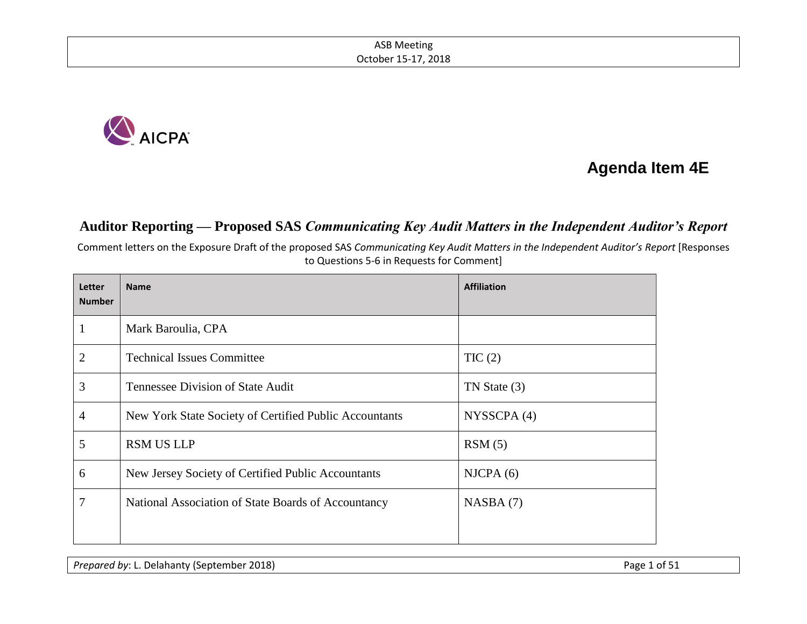

# **Agenda Item 4E**

### **Auditor Reporting — Proposed SAS** *Communicating Key Audit Matters in the Independent Auditor's Report*

Comment letters on the Exposure Draft of the proposed SAS *Communicating Key Audit Matters in the Independent Auditor's Report* [Responses to Questions 5-6 in Requests for Comment]

| <b>Letter</b><br><b>Number</b> | <b>Name</b>                                            | <b>Affiliation</b> |
|--------------------------------|--------------------------------------------------------|--------------------|
|                                | Mark Baroulia, CPA                                     |                    |
| $\overline{2}$                 | <b>Technical Issues Committee</b>                      | TIC(2)             |
| 3                              | Tennessee Division of State Audit                      | TN State (3)       |
| 4                              | New York State Society of Certified Public Accountants | NYSSCPA (4)        |
| 5                              | <b>RSM US LLP</b>                                      | RSM(5)             |
| 6                              | New Jersey Society of Certified Public Accountants     | NICPA(6)           |
| 7                              | National Association of State Boards of Accountancy    | NASBA(7)           |
|                                |                                                        |                    |

*Prepared by*: L. Delahanty (September 2018) **Prepared by: L. Delahanty (September 2018**)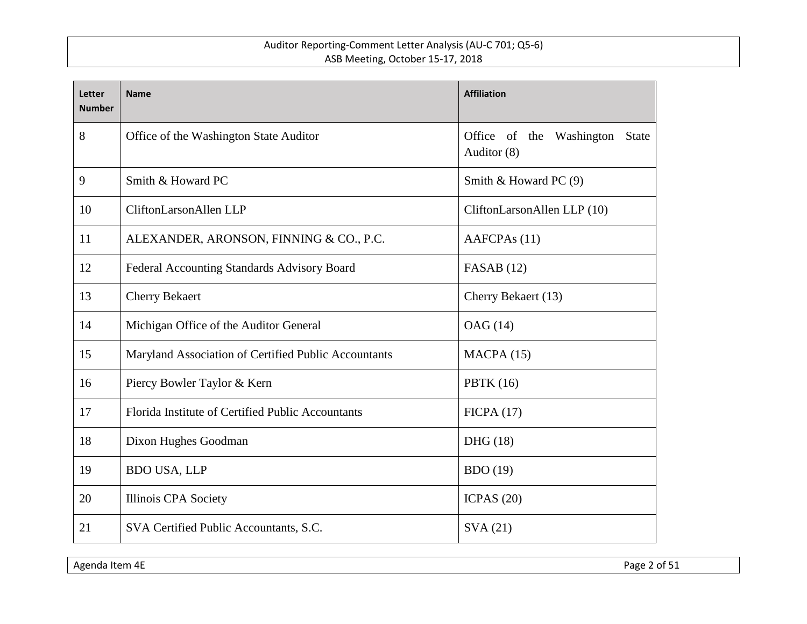| <b>Letter</b><br><b>Number</b> | <b>Name</b>                                          | <b>Affiliation</b>                                         |  |
|--------------------------------|------------------------------------------------------|------------------------------------------------------------|--|
| 8                              | Office of the Washington State Auditor               | Office of the<br>Washington<br><b>State</b><br>Auditor (8) |  |
| 9                              | Smith & Howard PC                                    | Smith & Howard PC (9)                                      |  |
| 10                             | CliftonLarsonAllen LLP                               | CliftonLarsonAllen LLP (10)                                |  |
| 11                             | ALEXANDER, ARONSON, FINNING & CO., P.C.              | AAFCPAs (11)                                               |  |
| 12                             | Federal Accounting Standards Advisory Board          | FASAB $(12)$                                               |  |
| 13                             | <b>Cherry Bekaert</b>                                | Cherry Bekaert (13)                                        |  |
| 14                             | Michigan Office of the Auditor General               | OAG (14)                                                   |  |
| 15                             | Maryland Association of Certified Public Accountants | MACPA(15)                                                  |  |
| 16                             | Piercy Bowler Taylor & Kern                          | PBTK $(16)$                                                |  |
| 17                             | Florida Institute of Certified Public Accountants    | FICPA(17)                                                  |  |
| 18                             | Dixon Hughes Goodman                                 | DHG(18)                                                    |  |
| 19                             | <b>BDO USA, LLP</b>                                  | <b>BDO</b> (19)                                            |  |
| 20                             | <b>Illinois CPA Society</b>                          | ICPAS $(20)$                                               |  |
| 21                             | SVA Certified Public Accountants, S.C.               | SVA(21)                                                    |  |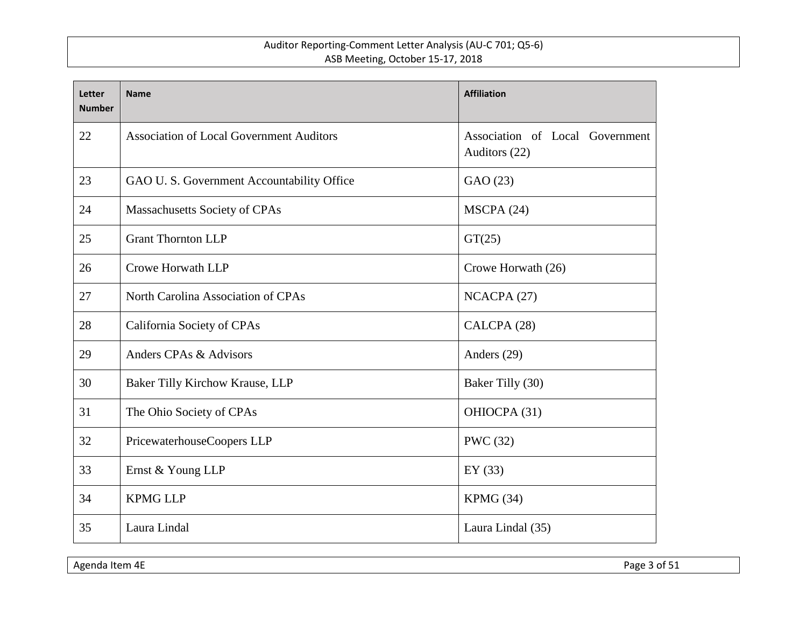| <b>Letter</b><br><b>Number</b> | <b>Name</b>                                     | <b>Affiliation</b>                               |
|--------------------------------|-------------------------------------------------|--------------------------------------------------|
| 22                             | <b>Association of Local Government Auditors</b> | Association of Local Government<br>Auditors (22) |
| 23                             | GAO U. S. Government Accountability Office      | GAO (23)                                         |
| 24                             | Massachusetts Society of CPAs                   | MSCPA (24)                                       |
| 25                             | <b>Grant Thornton LLP</b>                       | GT(25)                                           |
| 26                             | Crowe Horwath LLP                               | Crowe Horwath (26)                               |
| 27                             | North Carolina Association of CPAs              | NCACPA (27)                                      |
| 28                             | California Society of CPAs                      | CALCPA (28)                                      |
| 29                             | Anders CPAs & Advisors                          | Anders (29)                                      |
| 30                             | Baker Tilly Kirchow Krause, LLP                 | Baker Tilly (30)                                 |
| 31                             | The Ohio Society of CPAs                        | OHIOCPA (31)                                     |
| 32                             | PricewaterhouseCoopers LLP                      | <b>PWC</b> (32)                                  |
| 33                             | Ernst & Young LLP                               | EY $(33)$                                        |
| 34                             | <b>KPMG LLP</b>                                 | KPMG (34)                                        |
| 35                             | Laura Lindal                                    | Laura Lindal (35)                                |

Agenda Item 4E Page 3 of 51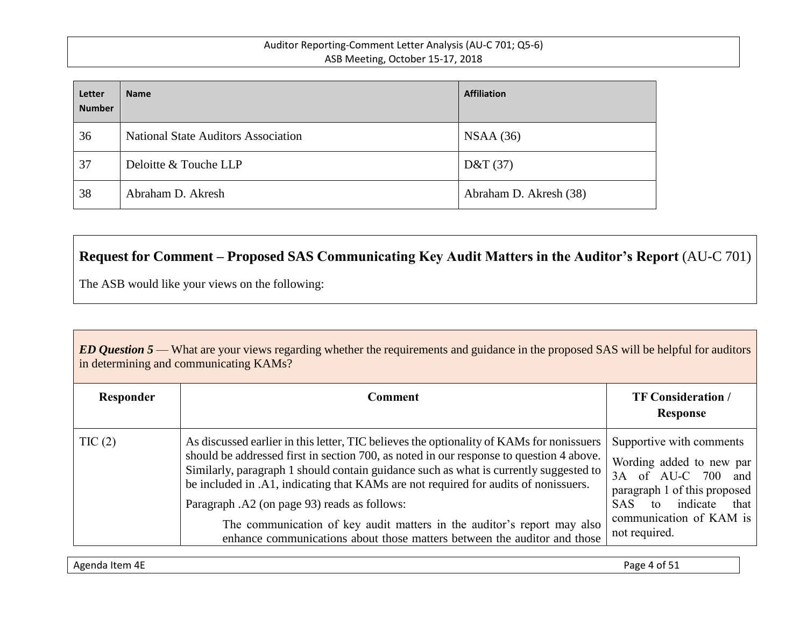| Letter<br><b>Number</b> | <b>Name</b>                                | <b>Affiliation</b>     |
|-------------------------|--------------------------------------------|------------------------|
| 36                      | <b>National State Auditors Association</b> | NSAA(36)               |
| 37                      | Deloitte & Touche LLP                      | D&T(37)                |
| 38                      | Abraham D. Akresh                          | Abraham D. Akresh (38) |

# **Request for Comment – Proposed SAS Communicating Key Audit Matters in the Auditor's Report** (AU-C 701)

The ASB would like your views on the following:

*ED Question 5* — What are your views regarding whether the requirements and guidance in the proposed SAS will be helpful for auditors in determining and communicating KAMs?

| Responder | Comment                                                                                                                                                                                                                                                                                                                                                                                                                                                                                                                                                                    | <b>TF Consideration /</b><br>Response                                                                                                                                                          |
|-----------|----------------------------------------------------------------------------------------------------------------------------------------------------------------------------------------------------------------------------------------------------------------------------------------------------------------------------------------------------------------------------------------------------------------------------------------------------------------------------------------------------------------------------------------------------------------------------|------------------------------------------------------------------------------------------------------------------------------------------------------------------------------------------------|
| TIC(2)    | As discussed earlier in this letter, TIC believes the optionality of KAMs for nonissuers<br>should be addressed first in section 700, as noted in our response to question 4 above.<br>Similarly, paragraph 1 should contain guidance such as what is currently suggested to<br>be included in .A1, indicating that KAMs are not required for audits of nonissuers.<br>Paragraph .A2 (on page 93) reads as follows:<br>The communication of key audit matters in the auditor's report may also<br>enhance communications about those matters between the auditor and those | Supportive with comments<br>Wording added to new par<br>3A of AU-C 700 and<br>paragraph 1 of this proposed<br>indicate<br><b>SAS</b><br>that<br>to<br>communication of KAM is<br>not required. |

Agenda Item 4E Page 4 of 51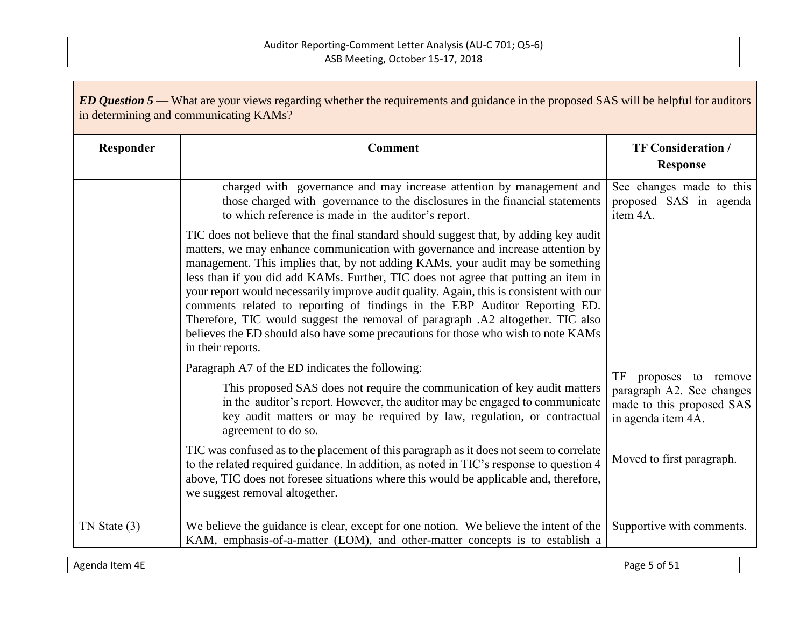| <b>ED Question 5</b> — What are your views regarding whether the requirements and guidance in the proposed SAS will be helpful for auditors<br>in determining and communicating KAMs? |                                                                                                                                                                                                                                                                                                                                                                                                                                                                                                                                                                                                                                                                                                                       |                                                                                                                                       |
|---------------------------------------------------------------------------------------------------------------------------------------------------------------------------------------|-----------------------------------------------------------------------------------------------------------------------------------------------------------------------------------------------------------------------------------------------------------------------------------------------------------------------------------------------------------------------------------------------------------------------------------------------------------------------------------------------------------------------------------------------------------------------------------------------------------------------------------------------------------------------------------------------------------------------|---------------------------------------------------------------------------------------------------------------------------------------|
| Responder                                                                                                                                                                             | <b>Comment</b>                                                                                                                                                                                                                                                                                                                                                                                                                                                                                                                                                                                                                                                                                                        | <b>TF Consideration /</b><br><b>Response</b>                                                                                          |
|                                                                                                                                                                                       | charged with governance and may increase attention by management and<br>those charged with governance to the disclosures in the financial statements<br>to which reference is made in the auditor's report.                                                                                                                                                                                                                                                                                                                                                                                                                                                                                                           | See changes made to this<br>proposed SAS in agenda<br>item 4A.                                                                        |
|                                                                                                                                                                                       | TIC does not believe that the final standard should suggest that, by adding key audit<br>matters, we may enhance communication with governance and increase attention by<br>management. This implies that, by not adding KAMs, your audit may be something<br>less than if you did add KAMs. Further, TIC does not agree that putting an item in<br>your report would necessarily improve audit quality. Again, this is consistent with our<br>comments related to reporting of findings in the EBP Auditor Reporting ED.<br>Therefore, TIC would suggest the removal of paragraph .A2 altogether. TIC also<br>believes the ED should also have some precautions for those who wish to note KAMs<br>in their reports. |                                                                                                                                       |
|                                                                                                                                                                                       | Paragraph A7 of the ED indicates the following:<br>This proposed SAS does not require the communication of key audit matters<br>in the auditor's report. However, the auditor may be engaged to communicate<br>key audit matters or may be required by law, regulation, or contractual<br>agreement to do so.<br>TIC was confused as to the placement of this paragraph as it does not seem to correlate<br>to the related required guidance. In addition, as noted in TIC's response to question 4                                                                                                                                                                                                                   | TF<br>proposes to remove<br>paragraph A2. See changes<br>made to this proposed SAS<br>in agenda item 4A.<br>Moved to first paragraph. |
|                                                                                                                                                                                       | above, TIC does not foresee situations where this would be applicable and, therefore,<br>we suggest removal altogether.                                                                                                                                                                                                                                                                                                                                                                                                                                                                                                                                                                                               |                                                                                                                                       |
| $TN$ State $(3)$                                                                                                                                                                      | We believe the guidance is clear, except for one notion. We believe the intent of the<br>KAM, emphasis-of-a-matter (EOM), and other-matter concepts is to establish a                                                                                                                                                                                                                                                                                                                                                                                                                                                                                                                                                 | Supportive with comments.                                                                                                             |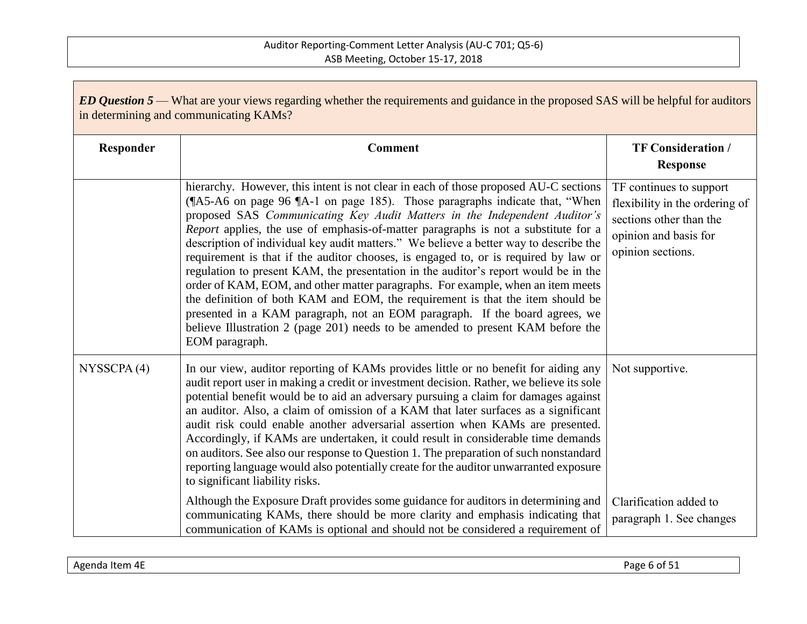| <b>ED Question 5</b> — What are your views regarding whether the requirements and guidance in the proposed SAS will be helpful for auditors<br>in determining and communicating KAMs? |                                                                                                                                                                                                                                                                                                                                                                                                                                                                                                                                                                                                                                                                                                                                                                                                                                                                                                                                                                        |                                                                                                                                    |  |
|---------------------------------------------------------------------------------------------------------------------------------------------------------------------------------------|------------------------------------------------------------------------------------------------------------------------------------------------------------------------------------------------------------------------------------------------------------------------------------------------------------------------------------------------------------------------------------------------------------------------------------------------------------------------------------------------------------------------------------------------------------------------------------------------------------------------------------------------------------------------------------------------------------------------------------------------------------------------------------------------------------------------------------------------------------------------------------------------------------------------------------------------------------------------|------------------------------------------------------------------------------------------------------------------------------------|--|
| Responder                                                                                                                                                                             | <b>Comment</b>                                                                                                                                                                                                                                                                                                                                                                                                                                                                                                                                                                                                                                                                                                                                                                                                                                                                                                                                                         | <b>TF Consideration /</b><br><b>Response</b>                                                                                       |  |
|                                                                                                                                                                                       | hierarchy. However, this intent is not clear in each of those proposed AU-C sections<br>(¶A5-A6 on page 96 ¶A-1 on page 185). Those paragraphs indicate that, "When<br>proposed SAS Communicating Key Audit Matters in the Independent Auditor's<br>Report applies, the use of emphasis-of-matter paragraphs is not a substitute for a<br>description of individual key audit matters." We believe a better way to describe the<br>requirement is that if the auditor chooses, is engaged to, or is required by law or<br>regulation to present KAM, the presentation in the auditor's report would be in the<br>order of KAM, EOM, and other matter paragraphs. For example, when an item meets<br>the definition of both KAM and EOM, the requirement is that the item should be<br>presented in a KAM paragraph, not an EOM paragraph. If the board agrees, we<br>believe Illustration 2 (page 201) needs to be amended to present KAM before the<br>EOM paragraph. | TF continues to support<br>flexibility in the ordering of<br>sections other than the<br>opinion and basis for<br>opinion sections. |  |
| NYSSCPA(4)                                                                                                                                                                            | In our view, auditor reporting of KAMs provides little or no benefit for aiding any<br>audit report user in making a credit or investment decision. Rather, we believe its sole<br>potential benefit would be to aid an adversary pursuing a claim for damages against<br>an auditor. Also, a claim of omission of a KAM that later surfaces as a significant<br>audit risk could enable another adversarial assertion when KAMs are presented.<br>Accordingly, if KAMs are undertaken, it could result in considerable time demands<br>on auditors. See also our response to Question 1. The preparation of such nonstandard<br>reporting language would also potentially create for the auditor unwarranted exposure<br>to significant liability risks.<br>Although the Exposure Draft provides some guidance for auditors in determining and                                                                                                                        | Not supportive.<br>Clarification added to                                                                                          |  |
|                                                                                                                                                                                       | communicating KAMs, there should be more clarity and emphasis indicating that<br>communication of KAMs is optional and should not be considered a requirement of                                                                                                                                                                                                                                                                                                                                                                                                                                                                                                                                                                                                                                                                                                                                                                                                       | paragraph 1. See changes                                                                                                           |  |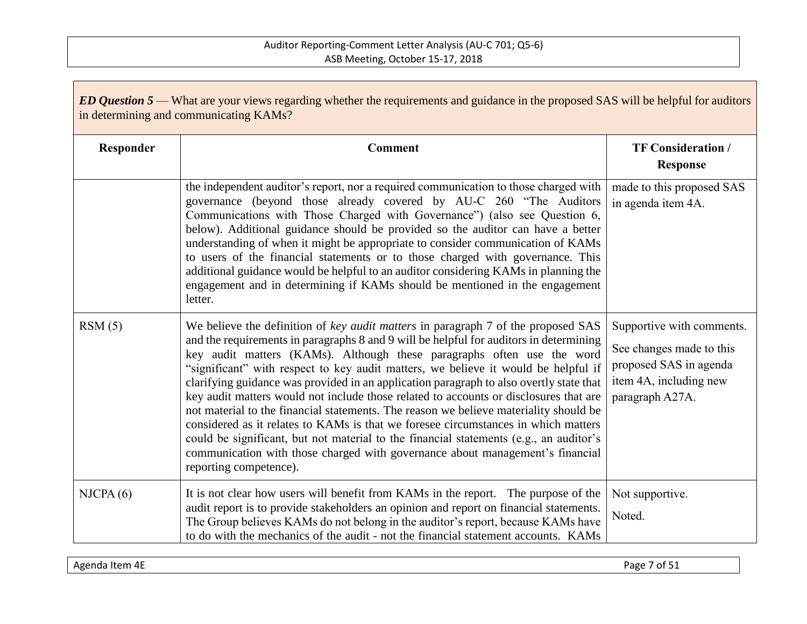| ED Question 5 — What are your views regarding whether the requirements and guidance in the proposed SAS will be helpful for auditors<br>in determining and communicating KAMs? |                                                                                                                                                                                                                                                                                                                                                                                                                                                                                                                                                                                                                                                                                                                                                                                                                                                                                                                     |                                                                                                                              |
|--------------------------------------------------------------------------------------------------------------------------------------------------------------------------------|---------------------------------------------------------------------------------------------------------------------------------------------------------------------------------------------------------------------------------------------------------------------------------------------------------------------------------------------------------------------------------------------------------------------------------------------------------------------------------------------------------------------------------------------------------------------------------------------------------------------------------------------------------------------------------------------------------------------------------------------------------------------------------------------------------------------------------------------------------------------------------------------------------------------|------------------------------------------------------------------------------------------------------------------------------|
| Responder                                                                                                                                                                      | <b>Comment</b>                                                                                                                                                                                                                                                                                                                                                                                                                                                                                                                                                                                                                                                                                                                                                                                                                                                                                                      | <b>TF Consideration /</b><br><b>Response</b>                                                                                 |
|                                                                                                                                                                                | the independent auditor's report, nor a required communication to those charged with<br>governance (beyond those already covered by AU-C 260 "The Auditors"<br>Communications with Those Charged with Governance") (also see Question 6,<br>below). Additional guidance should be provided so the auditor can have a better<br>understanding of when it might be appropriate to consider communication of KAMs<br>to users of the financial statements or to those charged with governance. This<br>additional guidance would be helpful to an auditor considering KAMs in planning the<br>engagement and in determining if KAMs should be mentioned in the engagement<br>letter.                                                                                                                                                                                                                                   | made to this proposed SAS<br>in agenda item 4A.                                                                              |
| RSM(5)                                                                                                                                                                         | We believe the definition of key audit matters in paragraph 7 of the proposed SAS<br>and the requirements in paragraphs 8 and 9 will be helpful for auditors in determining<br>key audit matters (KAMs). Although these paragraphs often use the word<br>"significant" with respect to key audit matters, we believe it would be helpful if<br>clarifying guidance was provided in an application paragraph to also overtly state that<br>key audit matters would not include those related to accounts or disclosures that are<br>not material to the financial statements. The reason we believe materiality should be<br>considered as it relates to KAMs is that we foresee circumstances in which matters<br>could be significant, but not material to the financial statements (e.g., an auditor's<br>communication with those charged with governance about management's financial<br>reporting competence). | Supportive with comments.<br>See changes made to this<br>proposed SAS in agenda<br>item 4A, including new<br>paragraph A27A. |
| NICPA(6)                                                                                                                                                                       | It is not clear how users will benefit from KAMs in the report. The purpose of the<br>audit report is to provide stakeholders an opinion and report on financial statements.<br>The Group believes KAMs do not belong in the auditor's report, because KAMs have<br>to do with the mechanics of the audit - not the financial statement accounts. KAMs                                                                                                                                                                                                                                                                                                                                                                                                                                                                                                                                                              | Not supportive.<br>Noted.                                                                                                    |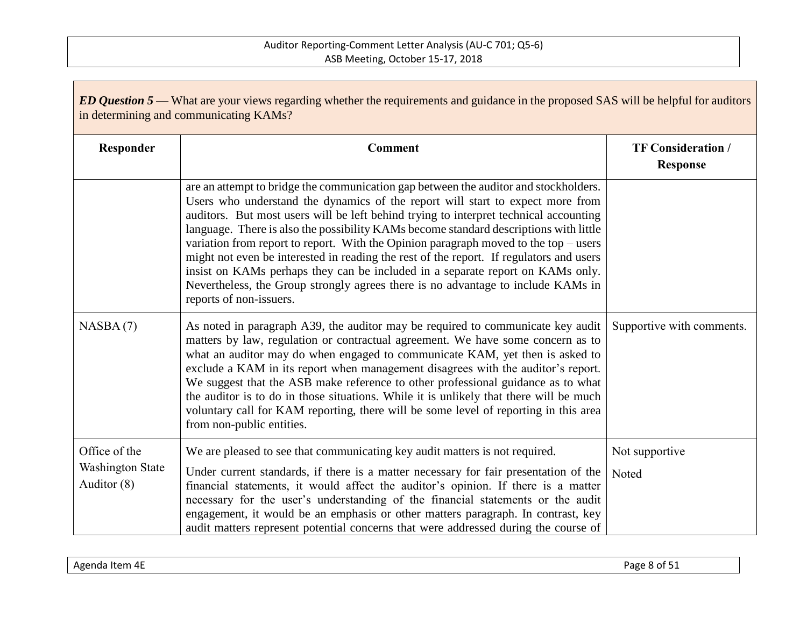| <b>ED Question 5</b> — What are your views regarding whether the requirements and guidance in the proposed SAS will be helpful for auditors<br>in determining and communicating KAMs? |                                                                                                                                                                                                                                                                                                                                                                                                                                                                                                                                                                                                                                                                                                                                                |                                              |  |
|---------------------------------------------------------------------------------------------------------------------------------------------------------------------------------------|------------------------------------------------------------------------------------------------------------------------------------------------------------------------------------------------------------------------------------------------------------------------------------------------------------------------------------------------------------------------------------------------------------------------------------------------------------------------------------------------------------------------------------------------------------------------------------------------------------------------------------------------------------------------------------------------------------------------------------------------|----------------------------------------------|--|
| Responder                                                                                                                                                                             | <b>Comment</b>                                                                                                                                                                                                                                                                                                                                                                                                                                                                                                                                                                                                                                                                                                                                 | <b>TF Consideration /</b><br><b>Response</b> |  |
|                                                                                                                                                                                       | are an attempt to bridge the communication gap between the auditor and stockholders.<br>Users who understand the dynamics of the report will start to expect more from<br>auditors. But most users will be left behind trying to interpret technical accounting<br>language. There is also the possibility KAMs become standard descriptions with little<br>variation from report to report. With the Opinion paragraph moved to the top $-$ users<br>might not even be interested in reading the rest of the report. If regulators and users<br>insist on KAMs perhaps they can be included in a separate report on KAMs only.<br>Nevertheless, the Group strongly agrees there is no advantage to include KAMs in<br>reports of non-issuers. |                                              |  |
| NASBA(7)                                                                                                                                                                              | As noted in paragraph A39, the auditor may be required to communicate key audit<br>matters by law, regulation or contractual agreement. We have some concern as to<br>what an auditor may do when engaged to communicate KAM, yet then is asked to<br>exclude a KAM in its report when management disagrees with the auditor's report.<br>We suggest that the ASB make reference to other professional guidance as to what<br>the auditor is to do in those situations. While it is unlikely that there will be much<br>voluntary call for KAM reporting, there will be some level of reporting in this area<br>from non-public entities.                                                                                                      | Supportive with comments.                    |  |
| Office of the<br><b>Washington State</b><br>Auditor (8)                                                                                                                               | We are pleased to see that communicating key audit matters is not required.<br>Under current standards, if there is a matter necessary for fair presentation of the<br>financial statements, it would affect the auditor's opinion. If there is a matter<br>necessary for the user's understanding of the financial statements or the audit<br>engagement, it would be an emphasis or other matters paragraph. In contrast, key<br>audit matters represent potential concerns that were addressed during the course of                                                                                                                                                                                                                         | Not supportive<br>Noted                      |  |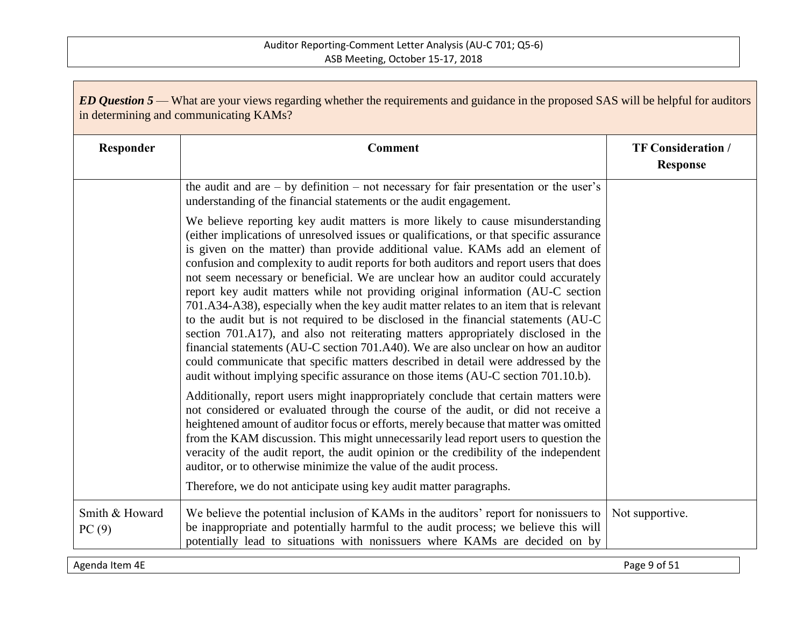| <b>ED Question 5</b> — What are your views regarding whether the requirements and guidance in the proposed SAS will be helpful for auditors<br>in determining and communicating KAMs? |                                                                                                                                                                                                                                                                                                                                                                                                                                                                                                                                                                                                                                                                                                                                                                                                                                                                                                                                                                                                                                                                   |                                              |
|---------------------------------------------------------------------------------------------------------------------------------------------------------------------------------------|-------------------------------------------------------------------------------------------------------------------------------------------------------------------------------------------------------------------------------------------------------------------------------------------------------------------------------------------------------------------------------------------------------------------------------------------------------------------------------------------------------------------------------------------------------------------------------------------------------------------------------------------------------------------------------------------------------------------------------------------------------------------------------------------------------------------------------------------------------------------------------------------------------------------------------------------------------------------------------------------------------------------------------------------------------------------|----------------------------------------------|
| Responder                                                                                                                                                                             | Comment                                                                                                                                                                                                                                                                                                                                                                                                                                                                                                                                                                                                                                                                                                                                                                                                                                                                                                                                                                                                                                                           | <b>TF Consideration /</b><br><b>Response</b> |
|                                                                                                                                                                                       | the audit and are $-$ by definition $-$ not necessary for fair presentation or the user's<br>understanding of the financial statements or the audit engagement.                                                                                                                                                                                                                                                                                                                                                                                                                                                                                                                                                                                                                                                                                                                                                                                                                                                                                                   |                                              |
|                                                                                                                                                                                       | We believe reporting key audit matters is more likely to cause misunderstanding<br>(either implications of unresolved issues or qualifications, or that specific assurance<br>is given on the matter) than provide additional value. KAMs add an element of<br>confusion and complexity to audit reports for both auditors and report users that does<br>not seem necessary or beneficial. We are unclear how an auditor could accurately<br>report key audit matters while not providing original information (AU-C section<br>701.A34-A38), especially when the key audit matter relates to an item that is relevant<br>to the audit but is not required to be disclosed in the financial statements (AU-C<br>section 701.A17), and also not reiterating matters appropriately disclosed in the<br>financial statements (AU-C section 701.A40). We are also unclear on how an auditor<br>could communicate that specific matters described in detail were addressed by the<br>audit without implying specific assurance on those items (AU-C section 701.10.b). |                                              |
|                                                                                                                                                                                       | Additionally, report users might inappropriately conclude that certain matters were<br>not considered or evaluated through the course of the audit, or did not receive a<br>heightened amount of auditor focus or efforts, merely because that matter was omitted<br>from the KAM discussion. This might unnecessarily lead report users to question the<br>veracity of the audit report, the audit opinion or the credibility of the independent<br>auditor, or to otherwise minimize the value of the audit process.<br>Therefore, we do not anticipate using key audit matter paragraphs.                                                                                                                                                                                                                                                                                                                                                                                                                                                                      |                                              |
| Smith & Howard<br>PC(9)                                                                                                                                                               | We believe the potential inclusion of KAMs in the auditors' report for nonissuers to<br>be inappropriate and potentially harmful to the audit process; we believe this will<br>potentially lead to situations with nonissuers where KAMs are decided on by                                                                                                                                                                                                                                                                                                                                                                                                                                                                                                                                                                                                                                                                                                                                                                                                        | Not supportive.                              |

Agenda Item 4E Page 9 of 51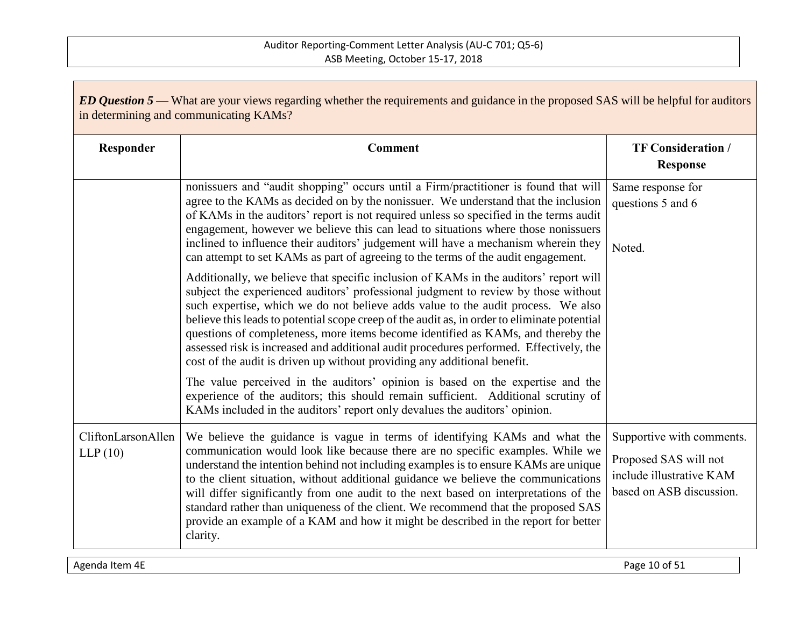| <b>ED Question 5</b> — What are your views regarding whether the requirements and guidance in the proposed SAS will be helpful for auditors<br>in determining and communicating KAMs? |                                                                                                                                                                                                                                                                                                                                                                                                                                                                                                                                                                                                                           |                                                                                                            |  |
|---------------------------------------------------------------------------------------------------------------------------------------------------------------------------------------|---------------------------------------------------------------------------------------------------------------------------------------------------------------------------------------------------------------------------------------------------------------------------------------------------------------------------------------------------------------------------------------------------------------------------------------------------------------------------------------------------------------------------------------------------------------------------------------------------------------------------|------------------------------------------------------------------------------------------------------------|--|
| Responder                                                                                                                                                                             | <b>Comment</b>                                                                                                                                                                                                                                                                                                                                                                                                                                                                                                                                                                                                            | <b>TF Consideration /</b><br><b>Response</b>                                                               |  |
|                                                                                                                                                                                       | nonissuers and "audit shopping" occurs until a Firm/practitioner is found that will<br>agree to the KAMs as decided on by the nonissuer. We understand that the inclusion<br>of KAMs in the auditors' report is not required unless so specified in the terms audit<br>engagement, however we believe this can lead to situations where those nonissuers<br>inclined to influence their auditors' judgement will have a mechanism wherein they<br>can attempt to set KAMs as part of agreeing to the terms of the audit engagement.                                                                                       | Same response for<br>questions 5 and 6<br>Noted.                                                           |  |
|                                                                                                                                                                                       | Additionally, we believe that specific inclusion of KAMs in the auditors' report will<br>subject the experienced auditors' professional judgment to review by those without<br>such expertise, which we do not believe adds value to the audit process. We also<br>believe this leads to potential scope creep of the audit as, in order to eliminate potential<br>questions of completeness, more items become identified as KAMs, and thereby the<br>assessed risk is increased and additional audit procedures performed. Effectively, the<br>cost of the audit is driven up without providing any additional benefit. |                                                                                                            |  |
|                                                                                                                                                                                       | The value perceived in the auditors' opinion is based on the expertise and the<br>experience of the auditors; this should remain sufficient. Additional scrutiny of<br>KAMs included in the auditors' report only devalues the auditors' opinion.                                                                                                                                                                                                                                                                                                                                                                         |                                                                                                            |  |
| CliftonLarsonAllen<br>LLP(10)                                                                                                                                                         | We believe the guidance is vague in terms of identifying KAMs and what the<br>communication would look like because there are no specific examples. While we<br>understand the intention behind not including examples is to ensure KAMs are unique<br>to the client situation, without additional guidance we believe the communications<br>will differ significantly from one audit to the next based on interpretations of the<br>standard rather than uniqueness of the client. We recommend that the proposed SAS<br>provide an example of a KAM and how it might be described in the report for better<br>clarity.  | Supportive with comments.<br>Proposed SAS will not<br>include illustrative KAM<br>based on ASB discussion. |  |

Agenda Item 4E Page 10 of 51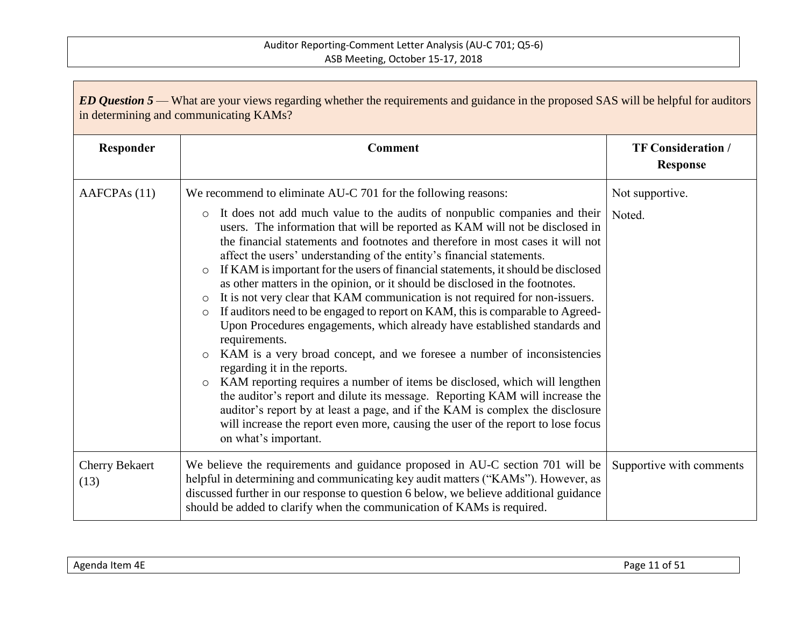| <b>ED Question 5</b> — What are your views regarding whether the requirements and guidance in the proposed SAS will be helpful for auditors<br>in determining and communicating KAMs? |                                                                                                                                                                                                                                                                                                                                                                                                                                                                                                                                                                                                                                                                                                                                                                                                                                                                                                                                                                                                                                                                                                                                                                                                                                                                                                                                                                    |                                              |  |
|---------------------------------------------------------------------------------------------------------------------------------------------------------------------------------------|--------------------------------------------------------------------------------------------------------------------------------------------------------------------------------------------------------------------------------------------------------------------------------------------------------------------------------------------------------------------------------------------------------------------------------------------------------------------------------------------------------------------------------------------------------------------------------------------------------------------------------------------------------------------------------------------------------------------------------------------------------------------------------------------------------------------------------------------------------------------------------------------------------------------------------------------------------------------------------------------------------------------------------------------------------------------------------------------------------------------------------------------------------------------------------------------------------------------------------------------------------------------------------------------------------------------------------------------------------------------|----------------------------------------------|--|
| Responder                                                                                                                                                                             | <b>Comment</b>                                                                                                                                                                                                                                                                                                                                                                                                                                                                                                                                                                                                                                                                                                                                                                                                                                                                                                                                                                                                                                                                                                                                                                                                                                                                                                                                                     | <b>TF Consideration /</b><br><b>Response</b> |  |
| AAFCPA <sub>s</sub> (11)                                                                                                                                                              | We recommend to eliminate AU-C 701 for the following reasons:<br>It does not add much value to the audits of nonpublic companies and their<br>$\circ$<br>users. The information that will be reported as KAM will not be disclosed in<br>the financial statements and footnotes and therefore in most cases it will not<br>affect the users' understanding of the entity's financial statements.<br>If KAM is important for the users of financial statements, it should be disclosed<br>$\circ$<br>as other matters in the opinion, or it should be disclosed in the footnotes.<br>It is not very clear that KAM communication is not required for non-issuers.<br>$\circ$<br>If auditors need to be engaged to report on KAM, this is comparable to Agreed-<br>$\circ$<br>Upon Procedures engagements, which already have established standards and<br>requirements.<br>KAM is a very broad concept, and we foresee a number of inconsistencies<br>$\circ$<br>regarding it in the reports.<br>KAM reporting requires a number of items be disclosed, which will lengthen<br>$\circ$<br>the auditor's report and dilute its message. Reporting KAM will increase the<br>auditor's report by at least a page, and if the KAM is complex the disclosure<br>will increase the report even more, causing the user of the report to lose focus<br>on what's important. | Not supportive.<br>Noted.                    |  |
| <b>Cherry Bekaert</b><br>(13)                                                                                                                                                         | We believe the requirements and guidance proposed in AU-C section 701 will be<br>helpful in determining and communicating key audit matters ("KAMs"). However, as<br>discussed further in our response to question 6 below, we believe additional guidance<br>should be added to clarify when the communication of KAMs is required.                                                                                                                                                                                                                                                                                                                                                                                                                                                                                                                                                                                                                                                                                                                                                                                                                                                                                                                                                                                                                               | Supportive with comments                     |  |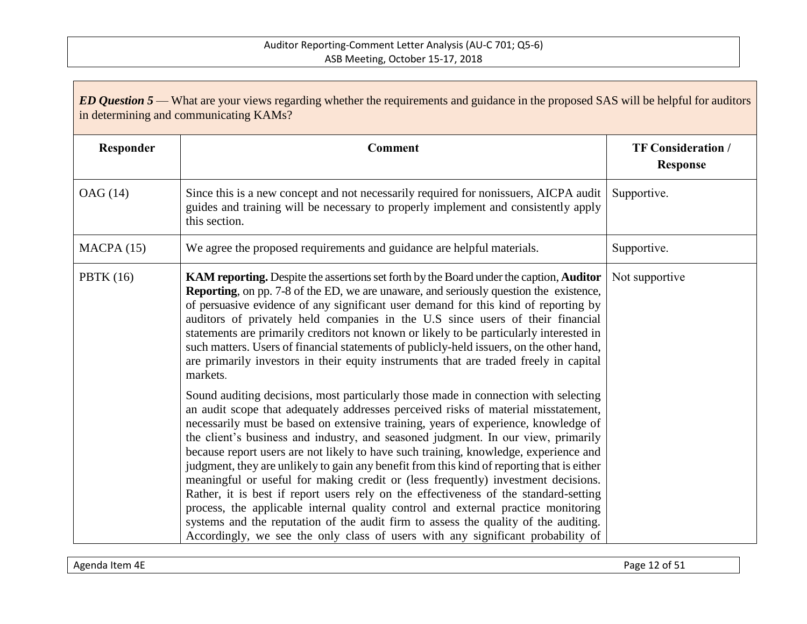| <b>ED Question 5</b> — What are your views regarding whether the requirements and guidance in the proposed SAS will be helpful for auditors<br>in determining and communicating KAMs? |                                                                                                                                                                                                                                                                                                                                                                                                                                                                                                                                                                                                                                                                                                                                                                                                                                                                                                                                                                                        |                                              |
|---------------------------------------------------------------------------------------------------------------------------------------------------------------------------------------|----------------------------------------------------------------------------------------------------------------------------------------------------------------------------------------------------------------------------------------------------------------------------------------------------------------------------------------------------------------------------------------------------------------------------------------------------------------------------------------------------------------------------------------------------------------------------------------------------------------------------------------------------------------------------------------------------------------------------------------------------------------------------------------------------------------------------------------------------------------------------------------------------------------------------------------------------------------------------------------|----------------------------------------------|
| Responder                                                                                                                                                                             | <b>Comment</b>                                                                                                                                                                                                                                                                                                                                                                                                                                                                                                                                                                                                                                                                                                                                                                                                                                                                                                                                                                         | <b>TF Consideration /</b><br><b>Response</b> |
| OAG (14)                                                                                                                                                                              | Since this is a new concept and not necessarily required for nonissuers, AICPA audit<br>guides and training will be necessary to properly implement and consistently apply<br>this section.                                                                                                                                                                                                                                                                                                                                                                                                                                                                                                                                                                                                                                                                                                                                                                                            | Supportive.                                  |
| MACPA(15)                                                                                                                                                                             | We agree the proposed requirements and guidance are helpful materials.                                                                                                                                                                                                                                                                                                                                                                                                                                                                                                                                                                                                                                                                                                                                                                                                                                                                                                                 | Supportive.                                  |
| <b>PBTK</b> (16)                                                                                                                                                                      | KAM reporting. Despite the assertions set forth by the Board under the caption, Auditor<br><b>Reporting</b> , on pp. 7-8 of the ED, we are unaware, and seriously question the existence,<br>of persuasive evidence of any significant user demand for this kind of reporting by<br>auditors of privately held companies in the U.S since users of their financial<br>statements are primarily creditors not known or likely to be particularly interested in<br>such matters. Users of financial statements of publicly-held issuers, on the other hand,<br>are primarily investors in their equity instruments that are traded freely in capital<br>markets.                                                                                                                                                                                                                                                                                                                         | Not supportive                               |
|                                                                                                                                                                                       | Sound auditing decisions, most particularly those made in connection with selecting<br>an audit scope that adequately addresses perceived risks of material misstatement,<br>necessarily must be based on extensive training, years of experience, knowledge of<br>the client's business and industry, and seasoned judgment. In our view, primarily<br>because report users are not likely to have such training, knowledge, experience and<br>judgment, they are unlikely to gain any benefit from this kind of reporting that is either<br>meaningful or useful for making credit or (less frequently) investment decisions.<br>Rather, it is best if report users rely on the effectiveness of the standard-setting<br>process, the applicable internal quality control and external practice monitoring<br>systems and the reputation of the audit firm to assess the quality of the auditing.<br>Accordingly, we see the only class of users with any significant probability of |                                              |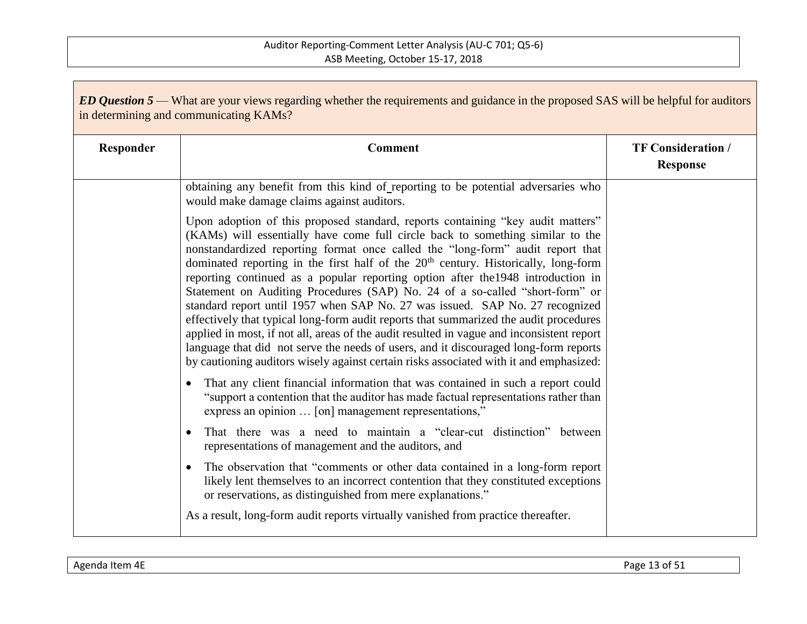| Responder | <b>Comment</b>                                                                                                                                                                                                                                                                                                                                                                                                                                                                                                                                                                                                                                                                                                                                                                                                                                                                                                                                                                    | <b>TF Consideration /</b><br><b>Response</b> |
|-----------|-----------------------------------------------------------------------------------------------------------------------------------------------------------------------------------------------------------------------------------------------------------------------------------------------------------------------------------------------------------------------------------------------------------------------------------------------------------------------------------------------------------------------------------------------------------------------------------------------------------------------------------------------------------------------------------------------------------------------------------------------------------------------------------------------------------------------------------------------------------------------------------------------------------------------------------------------------------------------------------|----------------------------------------------|
|           | obtaining any benefit from this kind of reporting to be potential adversaries who<br>would make damage claims against auditors.                                                                                                                                                                                                                                                                                                                                                                                                                                                                                                                                                                                                                                                                                                                                                                                                                                                   |                                              |
|           | Upon adoption of this proposed standard, reports containing "key audit matters"<br>(KAMs) will essentially have come full circle back to something similar to the<br>nonstandardized reporting format once called the "long-form" audit report that<br>dominated reporting in the first half of the 20 <sup>th</sup> century. Historically, long-form<br>reporting continued as a popular reporting option after the 1948 introduction in<br>Statement on Auditing Procedures (SAP) No. 24 of a so-called "short-form" or<br>standard report until 1957 when SAP No. 27 was issued. SAP No. 27 recognized<br>effectively that typical long-form audit reports that summarized the audit procedures<br>applied in most, if not all, areas of the audit resulted in vague and inconsistent report<br>language that did not serve the needs of users, and it discouraged long-form reports<br>by cautioning auditors wisely against certain risks associated with it and emphasized: |                                              |
|           | That any client financial information that was contained in such a report could<br>"support a contention that the auditor has made factual representations rather than<br>express an opinion  [on] management representations,"                                                                                                                                                                                                                                                                                                                                                                                                                                                                                                                                                                                                                                                                                                                                                   |                                              |
|           | That there was a need to maintain a "clear-cut distinction" between<br>representations of management and the auditors, and                                                                                                                                                                                                                                                                                                                                                                                                                                                                                                                                                                                                                                                                                                                                                                                                                                                        |                                              |
|           | The observation that "comments or other data contained in a long-form report<br>likely lent themselves to an incorrect contention that they constituted exceptions<br>or reservations, as distinguished from mere explanations."                                                                                                                                                                                                                                                                                                                                                                                                                                                                                                                                                                                                                                                                                                                                                  |                                              |
|           | As a result, long-form audit reports virtually vanished from practice thereafter.                                                                                                                                                                                                                                                                                                                                                                                                                                                                                                                                                                                                                                                                                                                                                                                                                                                                                                 |                                              |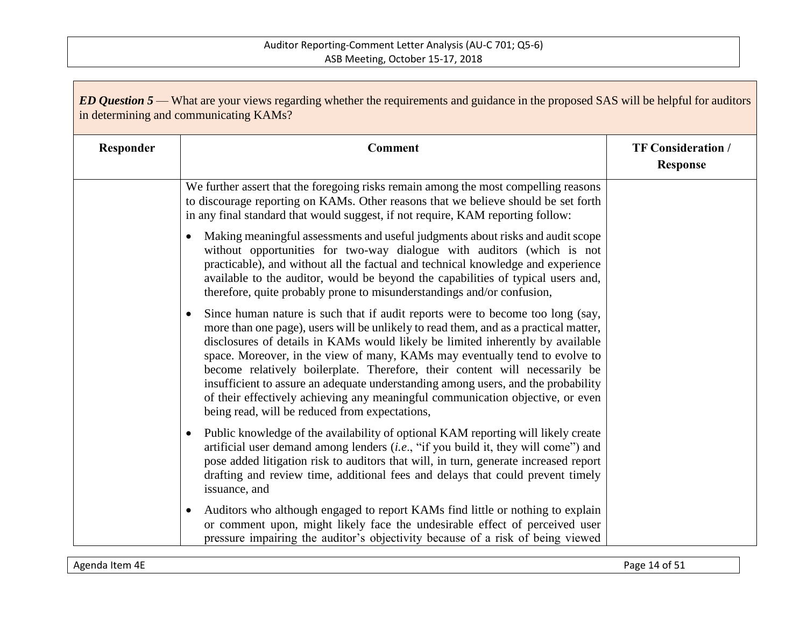| <b>ED Question 5</b> — What are your views regarding whether the requirements and guidance in the proposed SAS will be helpful for auditors<br>in determining and communicating KAMs? |                                                                                                                                                                                                                                                                                                                                                                                                                                                                                                                                                                                                                                                 |                                              |
|---------------------------------------------------------------------------------------------------------------------------------------------------------------------------------------|-------------------------------------------------------------------------------------------------------------------------------------------------------------------------------------------------------------------------------------------------------------------------------------------------------------------------------------------------------------------------------------------------------------------------------------------------------------------------------------------------------------------------------------------------------------------------------------------------------------------------------------------------|----------------------------------------------|
| Responder                                                                                                                                                                             | <b>Comment</b>                                                                                                                                                                                                                                                                                                                                                                                                                                                                                                                                                                                                                                  | <b>TF Consideration /</b><br><b>Response</b> |
|                                                                                                                                                                                       | We further assert that the foregoing risks remain among the most compelling reasons<br>to discourage reporting on KAMs. Other reasons that we believe should be set forth<br>in any final standard that would suggest, if not require, KAM reporting follow:                                                                                                                                                                                                                                                                                                                                                                                    |                                              |
|                                                                                                                                                                                       | Making meaningful assessments and useful judgments about risks and audit scope<br>without opportunities for two-way dialogue with auditors (which is not<br>practicable), and without all the factual and technical knowledge and experience<br>available to the auditor, would be beyond the capabilities of typical users and,<br>therefore, quite probably prone to misunderstandings and/or confusion,                                                                                                                                                                                                                                      |                                              |
|                                                                                                                                                                                       | Since human nature is such that if audit reports were to become too long (say,<br>more than one page), users will be unlikely to read them, and as a practical matter,<br>disclosures of details in KAMs would likely be limited inherently by available<br>space. Moreover, in the view of many, KAMs may eventually tend to evolve to<br>become relatively boilerplate. Therefore, their content will necessarily be<br>insufficient to assure an adequate understanding among users, and the probability<br>of their effectively achieving any meaningful communication objective, or even<br>being read, will be reduced from expectations, |                                              |
|                                                                                                                                                                                       | Public knowledge of the availability of optional KAM reporting will likely create<br>$\bullet$<br>artificial user demand among lenders (i.e., "if you build it, they will come") and<br>pose added litigation risk to auditors that will, in turn, generate increased report<br>drafting and review time, additional fees and delays that could prevent timely<br>issuance, and                                                                                                                                                                                                                                                                 |                                              |
|                                                                                                                                                                                       | Auditors who although engaged to report KAMs find little or nothing to explain<br>$\bullet$<br>or comment upon, might likely face the undesirable effect of perceived user<br>pressure impairing the auditor's objectivity because of a risk of being viewed                                                                                                                                                                                                                                                                                                                                                                                    |                                              |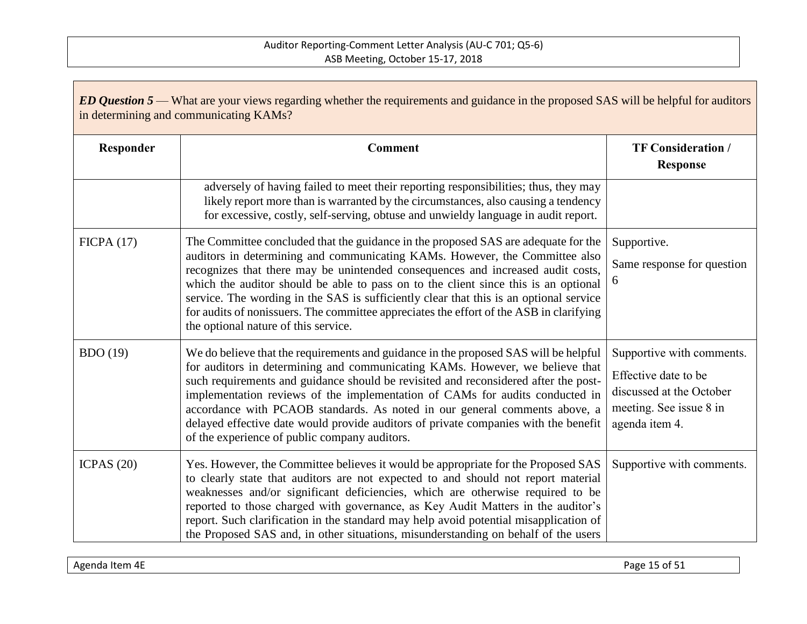| ED Question 5 — What are your views regarding whether the requirements and guidance in the proposed SAS will be helpful for auditors<br>in determining and communicating KAMs? |                                                                                                                                                                                                                                                                                                                                                                                                                                                                                                                                                                          |                                                                                                                            |
|--------------------------------------------------------------------------------------------------------------------------------------------------------------------------------|--------------------------------------------------------------------------------------------------------------------------------------------------------------------------------------------------------------------------------------------------------------------------------------------------------------------------------------------------------------------------------------------------------------------------------------------------------------------------------------------------------------------------------------------------------------------------|----------------------------------------------------------------------------------------------------------------------------|
| Responder                                                                                                                                                                      | <b>Comment</b>                                                                                                                                                                                                                                                                                                                                                                                                                                                                                                                                                           | <b>TF Consideration /</b><br><b>Response</b>                                                                               |
|                                                                                                                                                                                | adversely of having failed to meet their reporting responsibilities; thus, they may<br>likely report more than is warranted by the circumstances, also causing a tendency<br>for excessive, costly, self-serving, obtuse and unwieldy language in audit report.                                                                                                                                                                                                                                                                                                          |                                                                                                                            |
| FICPA(17)                                                                                                                                                                      | The Committee concluded that the guidance in the proposed SAS are adequate for the<br>auditors in determining and communicating KAMs. However, the Committee also<br>recognizes that there may be unintended consequences and increased audit costs,<br>which the auditor should be able to pass on to the client since this is an optional<br>service. The wording in the SAS is sufficiently clear that this is an optional service<br>for audits of nonissuers. The committee appreciates the effort of the ASB in clarifying<br>the optional nature of this service. | Supportive.<br>Same response for question<br>6                                                                             |
| BDO(19)                                                                                                                                                                        | We do believe that the requirements and guidance in the proposed SAS will be helpful<br>for auditors in determining and communicating KAMs. However, we believe that<br>such requirements and guidance should be revisited and reconsidered after the post-<br>implementation reviews of the implementation of CAMs for audits conducted in<br>accordance with PCAOB standards. As noted in our general comments above, a<br>delayed effective date would provide auditors of private companies with the benefit<br>of the experience of public company auditors.        | Supportive with comments.<br>Effective date to be<br>discussed at the October<br>meeting. See issue 8 in<br>agenda item 4. |
| ICPAS $(20)$                                                                                                                                                                   | Yes. However, the Committee believes it would be appropriate for the Proposed SAS<br>to clearly state that auditors are not expected to and should not report material<br>weaknesses and/or significant deficiencies, which are otherwise required to be<br>reported to those charged with governance, as Key Audit Matters in the auditor's<br>report. Such clarification in the standard may help avoid potential misapplication of<br>the Proposed SAS and, in other situations, misunderstanding on behalf of the users                                              | Supportive with comments.                                                                                                  |

Agenda Item 4E Page 15 of 51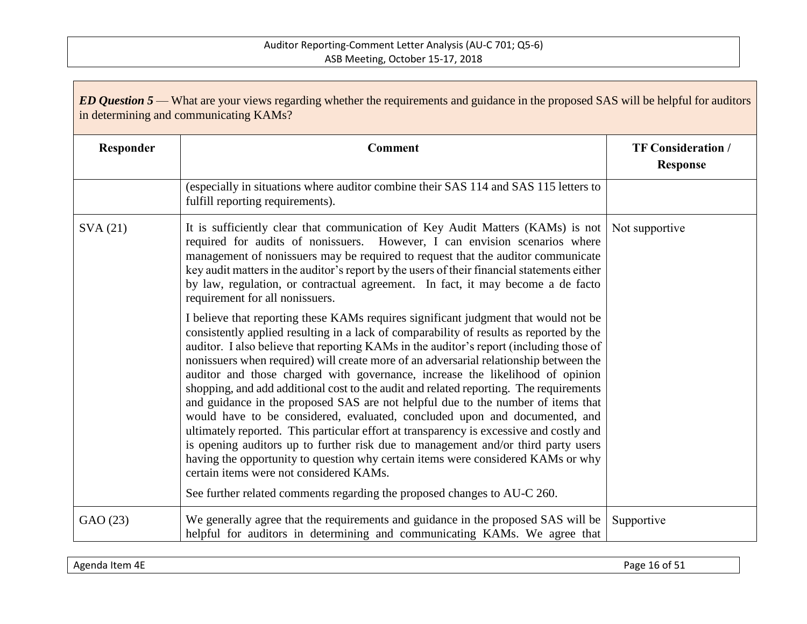| ED Question 5 — What are your views regarding whether the requirements and guidance in the proposed SAS will be helpful for auditors<br>in determining and communicating KAMs? |                                                                                                                                                                                                                                                                                                                                                                                                                                                                                                                                                                                                                                                                                                                                                                                                                                                                                                                                                                                                                                                                                                            |                                              |
|--------------------------------------------------------------------------------------------------------------------------------------------------------------------------------|------------------------------------------------------------------------------------------------------------------------------------------------------------------------------------------------------------------------------------------------------------------------------------------------------------------------------------------------------------------------------------------------------------------------------------------------------------------------------------------------------------------------------------------------------------------------------------------------------------------------------------------------------------------------------------------------------------------------------------------------------------------------------------------------------------------------------------------------------------------------------------------------------------------------------------------------------------------------------------------------------------------------------------------------------------------------------------------------------------|----------------------------------------------|
| Responder                                                                                                                                                                      | <b>Comment</b>                                                                                                                                                                                                                                                                                                                                                                                                                                                                                                                                                                                                                                                                                                                                                                                                                                                                                                                                                                                                                                                                                             | <b>TF Consideration /</b><br><b>Response</b> |
|                                                                                                                                                                                | (especially in situations where auditor combine their SAS 114 and SAS 115 letters to<br>fulfill reporting requirements).                                                                                                                                                                                                                                                                                                                                                                                                                                                                                                                                                                                                                                                                                                                                                                                                                                                                                                                                                                                   |                                              |
| SVA(21)                                                                                                                                                                        | It is sufficiently clear that communication of Key Audit Matters (KAMs) is not<br>required for audits of nonissuers. However, I can envision scenarios where<br>management of nonissuers may be required to request that the auditor communicate<br>key audit matters in the auditor's report by the users of their financial statements either<br>by law, regulation, or contractual agreement. In fact, it may become a de facto<br>requirement for all nonissuers.                                                                                                                                                                                                                                                                                                                                                                                                                                                                                                                                                                                                                                      | Not supportive                               |
|                                                                                                                                                                                | I believe that reporting these KAMs requires significant judgment that would not be<br>consistently applied resulting in a lack of comparability of results as reported by the<br>auditor. I also believe that reporting KAMs in the auditor's report (including those of<br>nonissuers when required) will create more of an adversarial relationship between the<br>auditor and those charged with governance, increase the likelihood of opinion<br>shopping, and add additional cost to the audit and related reporting. The requirements<br>and guidance in the proposed SAS are not helpful due to the number of items that<br>would have to be considered, evaluated, concluded upon and documented, and<br>ultimately reported. This particular effort at transparency is excessive and costly and<br>is opening auditors up to further risk due to management and/or third party users<br>having the opportunity to question why certain items were considered KAMs or why<br>certain items were not considered KAMs.<br>See further related comments regarding the proposed changes to AU-C 260. |                                              |
| GAO (23)                                                                                                                                                                       | We generally agree that the requirements and guidance in the proposed SAS will be<br>helpful for auditors in determining and communicating KAMs. We agree that                                                                                                                                                                                                                                                                                                                                                                                                                                                                                                                                                                                                                                                                                                                                                                                                                                                                                                                                             | Supportive                                   |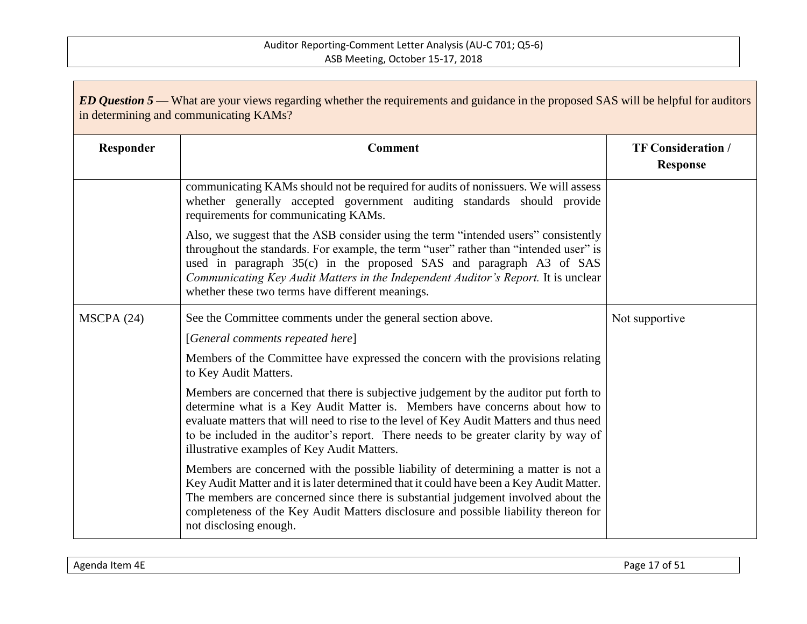| <b>ED Question 5</b> — What are your views regarding whether the requirements and guidance in the proposed SAS will be helpful for auditors<br>in determining and communicating KAMs? |                                                                                                                                                                                                                                                                                                                                                                                                      |                                              |
|---------------------------------------------------------------------------------------------------------------------------------------------------------------------------------------|------------------------------------------------------------------------------------------------------------------------------------------------------------------------------------------------------------------------------------------------------------------------------------------------------------------------------------------------------------------------------------------------------|----------------------------------------------|
| Responder                                                                                                                                                                             | <b>Comment</b>                                                                                                                                                                                                                                                                                                                                                                                       | <b>TF Consideration /</b><br><b>Response</b> |
|                                                                                                                                                                                       | communicating KAMs should not be required for audits of nonissuers. We will assess<br>whether generally accepted government auditing standards should provide<br>requirements for communicating KAMs.                                                                                                                                                                                                |                                              |
|                                                                                                                                                                                       | Also, we suggest that the ASB consider using the term "intended users" consistently<br>throughout the standards. For example, the term "user" rather than "intended user" is<br>used in paragraph 35(c) in the proposed SAS and paragraph A3 of SAS<br>Communicating Key Audit Matters in the Independent Auditor's Report. It is unclear<br>whether these two terms have different meanings.        |                                              |
| MSCPA(24)                                                                                                                                                                             | See the Committee comments under the general section above.                                                                                                                                                                                                                                                                                                                                          | Not supportive                               |
|                                                                                                                                                                                       | [General comments repeated here]                                                                                                                                                                                                                                                                                                                                                                     |                                              |
|                                                                                                                                                                                       | Members of the Committee have expressed the concern with the provisions relating<br>to Key Audit Matters.                                                                                                                                                                                                                                                                                            |                                              |
|                                                                                                                                                                                       | Members are concerned that there is subjective judgement by the auditor put forth to<br>determine what is a Key Audit Matter is. Members have concerns about how to<br>evaluate matters that will need to rise to the level of Key Audit Matters and thus need<br>to be included in the auditor's report. There needs to be greater clarity by way of<br>illustrative examples of Key Audit Matters. |                                              |
|                                                                                                                                                                                       | Members are concerned with the possible liability of determining a matter is not a<br>Key Audit Matter and it is later determined that it could have been a Key Audit Matter.<br>The members are concerned since there is substantial judgement involved about the<br>completeness of the Key Audit Matters disclosure and possible liability thereon for<br>not disclosing enough.                  |                                              |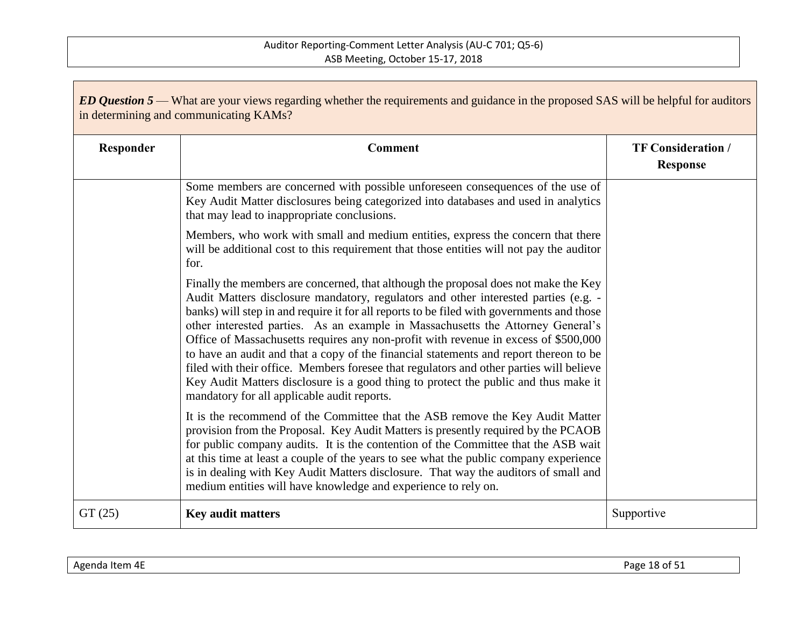| <b>ED Question 5</b> — What are your views regarding whether the requirements and guidance in the proposed SAS will be helpful for auditors<br>in determining and communicating KAMs? |                                                                                                                                                                                                                                                                                                                                                                                                                                                                                                                                                                                                                                                                                                                                                                             |                                              |
|---------------------------------------------------------------------------------------------------------------------------------------------------------------------------------------|-----------------------------------------------------------------------------------------------------------------------------------------------------------------------------------------------------------------------------------------------------------------------------------------------------------------------------------------------------------------------------------------------------------------------------------------------------------------------------------------------------------------------------------------------------------------------------------------------------------------------------------------------------------------------------------------------------------------------------------------------------------------------------|----------------------------------------------|
| Responder                                                                                                                                                                             | <b>Comment</b>                                                                                                                                                                                                                                                                                                                                                                                                                                                                                                                                                                                                                                                                                                                                                              | <b>TF Consideration /</b><br><b>Response</b> |
|                                                                                                                                                                                       | Some members are concerned with possible unforeseen consequences of the use of<br>Key Audit Matter disclosures being categorized into databases and used in analytics<br>that may lead to inappropriate conclusions.                                                                                                                                                                                                                                                                                                                                                                                                                                                                                                                                                        |                                              |
|                                                                                                                                                                                       | Members, who work with small and medium entities, express the concern that there<br>will be additional cost to this requirement that those entities will not pay the auditor<br>for.                                                                                                                                                                                                                                                                                                                                                                                                                                                                                                                                                                                        |                                              |
|                                                                                                                                                                                       | Finally the members are concerned, that although the proposal does not make the Key<br>Audit Matters disclosure mandatory, regulators and other interested parties (e.g. -<br>banks) will step in and require it for all reports to be filed with governments and those<br>other interested parties. As an example in Massachusetts the Attorney General's<br>Office of Massachusetts requires any non-profit with revenue in excess of \$500,000<br>to have an audit and that a copy of the financial statements and report thereon to be<br>filed with their office. Members foresee that regulators and other parties will believe<br>Key Audit Matters disclosure is a good thing to protect the public and thus make it<br>mandatory for all applicable audit reports. |                                              |
|                                                                                                                                                                                       | It is the recommend of the Committee that the ASB remove the Key Audit Matter<br>provision from the Proposal. Key Audit Matters is presently required by the PCAOB<br>for public company audits. It is the contention of the Committee that the ASB wait<br>at this time at least a couple of the years to see what the public company experience<br>is in dealing with Key Audit Matters disclosure. That way the auditors of small and<br>medium entities will have knowledge and experience to rely on.                                                                                                                                                                                                                                                                  |                                              |
| GT(25)                                                                                                                                                                                | <b>Key audit matters</b>                                                                                                                                                                                                                                                                                                                                                                                                                                                                                                                                                                                                                                                                                                                                                    | Supportive                                   |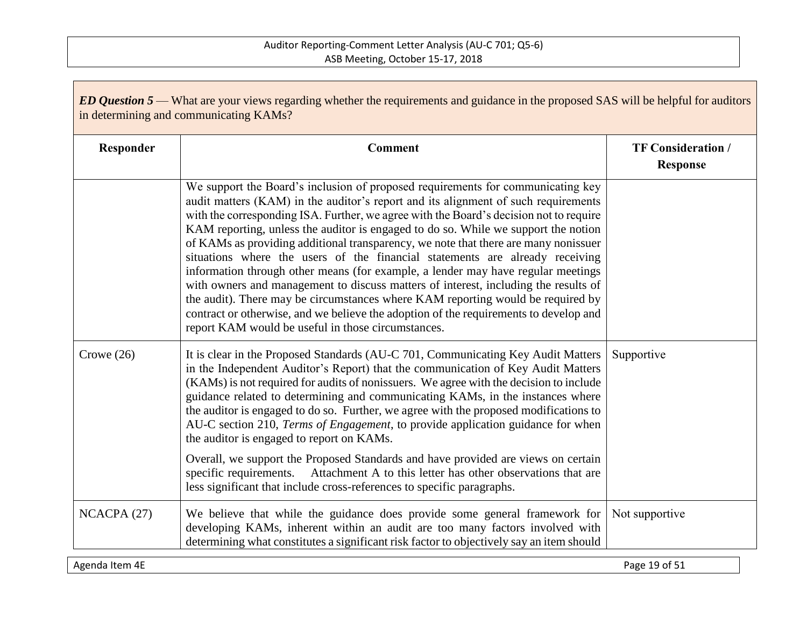| <b>ED Question 5</b> — What are your views regarding whether the requirements and guidance in the proposed SAS will be helpful for auditors<br>in determining and communicating KAMs? |                                                                                                                                                                                                                                                                                                                                                                                                                                                                                                                                                                                                                                                                                                                                                                                                                                                                                                                                           |                                              |
|---------------------------------------------------------------------------------------------------------------------------------------------------------------------------------------|-------------------------------------------------------------------------------------------------------------------------------------------------------------------------------------------------------------------------------------------------------------------------------------------------------------------------------------------------------------------------------------------------------------------------------------------------------------------------------------------------------------------------------------------------------------------------------------------------------------------------------------------------------------------------------------------------------------------------------------------------------------------------------------------------------------------------------------------------------------------------------------------------------------------------------------------|----------------------------------------------|
| Responder                                                                                                                                                                             | <b>Comment</b>                                                                                                                                                                                                                                                                                                                                                                                                                                                                                                                                                                                                                                                                                                                                                                                                                                                                                                                            | <b>TF Consideration /</b><br><b>Response</b> |
|                                                                                                                                                                                       | We support the Board's inclusion of proposed requirements for communicating key<br>audit matters (KAM) in the auditor's report and its alignment of such requirements<br>with the corresponding ISA. Further, we agree with the Board's decision not to require<br>KAM reporting, unless the auditor is engaged to do so. While we support the notion<br>of KAMs as providing additional transparency, we note that there are many nonissuer<br>situations where the users of the financial statements are already receiving<br>information through other means (for example, a lender may have regular meetings<br>with owners and management to discuss matters of interest, including the results of<br>the audit). There may be circumstances where KAM reporting would be required by<br>contract or otherwise, and we believe the adoption of the requirements to develop and<br>report KAM would be useful in those circumstances. |                                              |
| Crowe $(26)$                                                                                                                                                                          | It is clear in the Proposed Standards (AU-C 701, Communicating Key Audit Matters<br>in the Independent Auditor's Report) that the communication of Key Audit Matters<br>(KAMs) is not required for audits of nonissuers. We agree with the decision to include<br>guidance related to determining and communicating KAMs, in the instances where<br>the auditor is engaged to do so. Further, we agree with the proposed modifications to<br>AU-C section 210, Terms of Engagement, to provide application guidance for when<br>the auditor is engaged to report on KAMs.<br>Overall, we support the Proposed Standards and have provided are views on certain<br>specific requirements. Attachment A to this letter has other observations that are<br>less significant that include cross-references to specific paragraphs.                                                                                                            | Supportive                                   |
| NCACPA (27)                                                                                                                                                                           | We believe that while the guidance does provide some general framework for<br>developing KAMs, inherent within an audit are too many factors involved with<br>determining what constitutes a significant risk factor to objectively say an item should                                                                                                                                                                                                                                                                                                                                                                                                                                                                                                                                                                                                                                                                                    | Not supportive                               |

Agenda Item 4E Page 19 of 51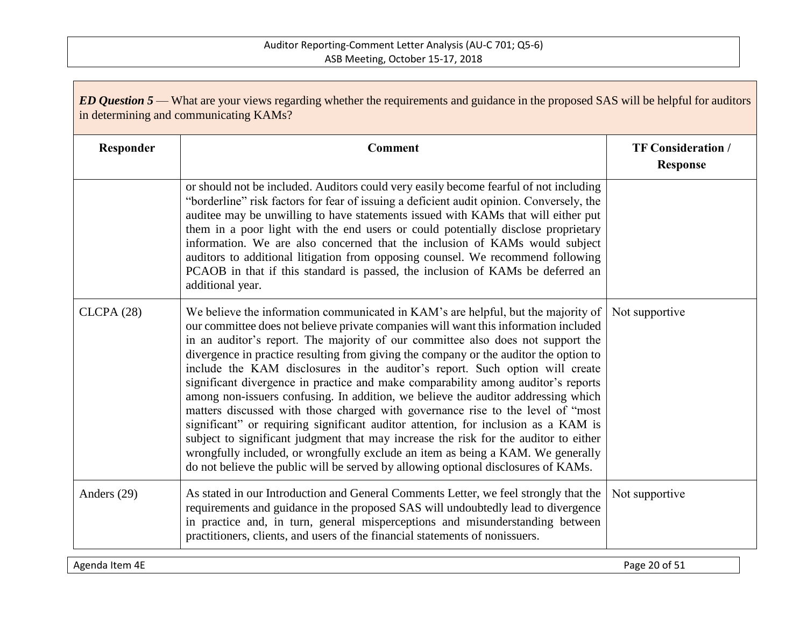| <b>ED Question 5</b> — What are your views regarding whether the requirements and guidance in the proposed SAS will be helpful for auditors<br>in determining and communicating KAMs? |                                                                                                                                                                                                                                                                                                                                                                                                                                                                                                                                                                                                                                                                                                                                                                                                                                                                                                                                                                                                                                                           |                                              |
|---------------------------------------------------------------------------------------------------------------------------------------------------------------------------------------|-----------------------------------------------------------------------------------------------------------------------------------------------------------------------------------------------------------------------------------------------------------------------------------------------------------------------------------------------------------------------------------------------------------------------------------------------------------------------------------------------------------------------------------------------------------------------------------------------------------------------------------------------------------------------------------------------------------------------------------------------------------------------------------------------------------------------------------------------------------------------------------------------------------------------------------------------------------------------------------------------------------------------------------------------------------|----------------------------------------------|
| Responder                                                                                                                                                                             | <b>Comment</b>                                                                                                                                                                                                                                                                                                                                                                                                                                                                                                                                                                                                                                                                                                                                                                                                                                                                                                                                                                                                                                            | <b>TF Consideration /</b><br><b>Response</b> |
|                                                                                                                                                                                       | or should not be included. Auditors could very easily become fearful of not including<br>"borderline" risk factors for fear of issuing a deficient audit opinion. Conversely, the<br>auditee may be unwilling to have statements issued with KAMs that will either put<br>them in a poor light with the end users or could potentially disclose proprietary<br>information. We are also concerned that the inclusion of KAMs would subject<br>auditors to additional litigation from opposing counsel. We recommend following<br>PCAOB in that if this standard is passed, the inclusion of KAMs be deferred an<br>additional year.                                                                                                                                                                                                                                                                                                                                                                                                                       |                                              |
| CLCPA(28)                                                                                                                                                                             | We believe the information communicated in KAM's are helpful, but the majority of<br>our committee does not believe private companies will want this information included<br>in an auditor's report. The majority of our committee also does not support the<br>divergence in practice resulting from giving the company or the auditor the option to<br>include the KAM disclosures in the auditor's report. Such option will create<br>significant divergence in practice and make comparability among auditor's reports<br>among non-issuers confusing. In addition, we believe the auditor addressing which<br>matters discussed with those charged with governance rise to the level of "most<br>significant" or requiring significant auditor attention, for inclusion as a KAM is<br>subject to significant judgment that may increase the risk for the auditor to either<br>wrongfully included, or wrongfully exclude an item as being a KAM. We generally<br>do not believe the public will be served by allowing optional disclosures of KAMs. | Not supportive                               |
| Anders (29)                                                                                                                                                                           | As stated in our Introduction and General Comments Letter, we feel strongly that the<br>requirements and guidance in the proposed SAS will undoubtedly lead to divergence<br>in practice and, in turn, general misperceptions and misunderstanding between<br>practitioners, clients, and users of the financial statements of nonissuers.                                                                                                                                                                                                                                                                                                                                                                                                                                                                                                                                                                                                                                                                                                                | Not supportive                               |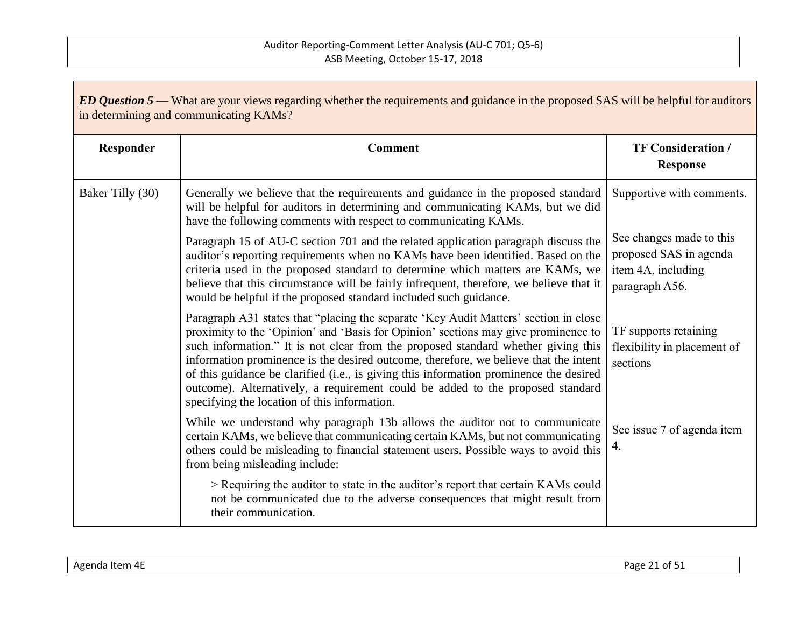| <b>ED Question 5</b> — What are your views regarding whether the requirements and guidance in the proposed SAS will be helpful for auditors<br>in determining and communicating KAMs? |                                                                                                                                                                                                                                                                                                                                                                                                                                                                                                                                                                                     |                                                                                            |
|---------------------------------------------------------------------------------------------------------------------------------------------------------------------------------------|-------------------------------------------------------------------------------------------------------------------------------------------------------------------------------------------------------------------------------------------------------------------------------------------------------------------------------------------------------------------------------------------------------------------------------------------------------------------------------------------------------------------------------------------------------------------------------------|--------------------------------------------------------------------------------------------|
| Responder                                                                                                                                                                             | <b>Comment</b>                                                                                                                                                                                                                                                                                                                                                                                                                                                                                                                                                                      | <b>TF Consideration /</b><br><b>Response</b>                                               |
| Baker Tilly (30)                                                                                                                                                                      | Generally we believe that the requirements and guidance in the proposed standard<br>will be helpful for auditors in determining and communicating KAMs, but we did<br>have the following comments with respect to communicating KAMs.                                                                                                                                                                                                                                                                                                                                               | Supportive with comments.                                                                  |
|                                                                                                                                                                                       | Paragraph 15 of AU-C section 701 and the related application paragraph discuss the<br>auditor's reporting requirements when no KAMs have been identified. Based on the<br>criteria used in the proposed standard to determine which matters are KAMs, we<br>believe that this circumstance will be fairly infrequent, therefore, we believe that it<br>would be helpful if the proposed standard included such guidance.                                                                                                                                                            | See changes made to this<br>proposed SAS in agenda<br>item 4A, including<br>paragraph A56. |
|                                                                                                                                                                                       | Paragraph A31 states that "placing the separate 'Key Audit Matters' section in close<br>proximity to the 'Opinion' and 'Basis for Opinion' sections may give prominence to<br>such information." It is not clear from the proposed standard whether giving this<br>information prominence is the desired outcome, therefore, we believe that the intent<br>of this guidance be clarified (i.e., is giving this information prominence the desired<br>outcome). Alternatively, a requirement could be added to the proposed standard<br>specifying the location of this information. | TF supports retaining<br>flexibility in placement of<br>sections                           |
|                                                                                                                                                                                       | While we understand why paragraph 13b allows the auditor not to communicate<br>certain KAMs, we believe that communicating certain KAMs, but not communicating<br>others could be misleading to financial statement users. Possible ways to avoid this<br>from being misleading include:                                                                                                                                                                                                                                                                                            | See issue 7 of agenda item<br>4.                                                           |
|                                                                                                                                                                                       | > Requiring the auditor to state in the auditor's report that certain KAMs could<br>not be communicated due to the adverse consequences that might result from<br>their communication.                                                                                                                                                                                                                                                                                                                                                                                              |                                                                                            |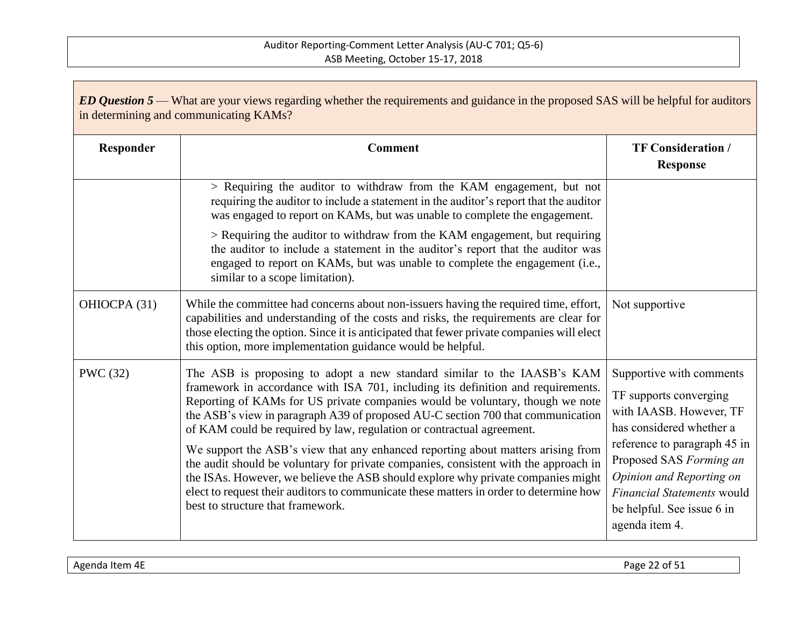| ED Question 5 — What are your views regarding whether the requirements and guidance in the proposed SAS will be helpful for auditors<br>in determining and communicating KAMs? |                                                                                                                                                                                                                                                                                                                                                                                                                                                                                                                                                                                      |                                                                                                                                                                      |
|--------------------------------------------------------------------------------------------------------------------------------------------------------------------------------|--------------------------------------------------------------------------------------------------------------------------------------------------------------------------------------------------------------------------------------------------------------------------------------------------------------------------------------------------------------------------------------------------------------------------------------------------------------------------------------------------------------------------------------------------------------------------------------|----------------------------------------------------------------------------------------------------------------------------------------------------------------------|
| Responder                                                                                                                                                                      | <b>Comment</b>                                                                                                                                                                                                                                                                                                                                                                                                                                                                                                                                                                       | <b>TF Consideration /</b><br><b>Response</b>                                                                                                                         |
|                                                                                                                                                                                | > Requiring the auditor to withdraw from the KAM engagement, but not<br>requiring the auditor to include a statement in the auditor's report that the auditor<br>was engaged to report on KAMs, but was unable to complete the engagement.                                                                                                                                                                                                                                                                                                                                           |                                                                                                                                                                      |
|                                                                                                                                                                                | > Requiring the auditor to withdraw from the KAM engagement, but requiring<br>the auditor to include a statement in the auditor's report that the auditor was<br>engaged to report on KAMs, but was unable to complete the engagement (i.e.,<br>similar to a scope limitation).                                                                                                                                                                                                                                                                                                      |                                                                                                                                                                      |
| OHIOCPA (31)                                                                                                                                                                   | While the committee had concerns about non-issuers having the required time, effort,<br>capabilities and understanding of the costs and risks, the requirements are clear for<br>those electing the option. Since it is anticipated that fewer private companies will elect<br>this option, more implementation guidance would be helpful.                                                                                                                                                                                                                                           | Not supportive                                                                                                                                                       |
| PWC (32)                                                                                                                                                                       | The ASB is proposing to adopt a new standard similar to the IAASB's KAM<br>framework in accordance with ISA 701, including its definition and requirements.<br>Reporting of KAMs for US private companies would be voluntary, though we note<br>the ASB's view in paragraph A39 of proposed AU-C section 700 that communication<br>of KAM could be required by law, regulation or contractual agreement.<br>We support the ASB's view that any enhanced reporting about matters arising from<br>the audit should be voluntary for private companies, consistent with the approach in | Supportive with comments<br>TF supports converging<br>with IAASB. However, TF<br>has considered whether a<br>reference to paragraph 45 in<br>Proposed SAS Forming an |
|                                                                                                                                                                                | the ISAs. However, we believe the ASB should explore why private companies might<br>elect to request their auditors to communicate these matters in order to determine how<br>best to structure that framework.                                                                                                                                                                                                                                                                                                                                                                      | Opinion and Reporting on<br><b>Financial Statements would</b><br>be helpful. See issue 6 in<br>agenda item 4.                                                        |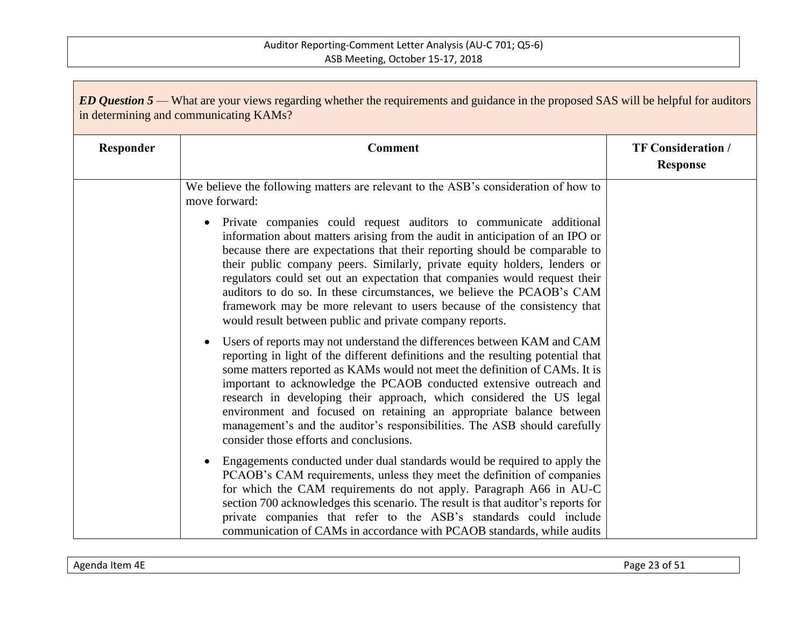| ED Question 5 — What are your views regarding whether the requirements and guidance in the proposed SAS will be helpful for auditors<br>in determining and communicating KAMs? |                                                                                                                                                                                                                                                                                                                                                                                                                                                                                                                                                                                                                 |                                              |
|--------------------------------------------------------------------------------------------------------------------------------------------------------------------------------|-----------------------------------------------------------------------------------------------------------------------------------------------------------------------------------------------------------------------------------------------------------------------------------------------------------------------------------------------------------------------------------------------------------------------------------------------------------------------------------------------------------------------------------------------------------------------------------------------------------------|----------------------------------------------|
| Responder                                                                                                                                                                      | <b>Comment</b>                                                                                                                                                                                                                                                                                                                                                                                                                                                                                                                                                                                                  | <b>TF Consideration /</b><br><b>Response</b> |
|                                                                                                                                                                                | We believe the following matters are relevant to the ASB's consideration of how to<br>move forward:                                                                                                                                                                                                                                                                                                                                                                                                                                                                                                             |                                              |
|                                                                                                                                                                                | • Private companies could request auditors to communicate additional<br>information about matters arising from the audit in anticipation of an IPO or<br>because there are expectations that their reporting should be comparable to<br>their public company peers. Similarly, private equity holders, lenders or<br>regulators could set out an expectation that companies would request their<br>auditors to do so. In these circumstances, we believe the PCAOB's CAM<br>framework may be more relevant to users because of the consistency that<br>would result between public and private company reports. |                                              |
|                                                                                                                                                                                | Users of reports may not understand the differences between KAM and CAM<br>$\bullet$<br>reporting in light of the different definitions and the resulting potential that<br>some matters reported as KAMs would not meet the definition of CAMs. It is<br>important to acknowledge the PCAOB conducted extensive outreach and<br>research in developing their approach, which considered the US legal<br>environment and focused on retaining an appropriate balance between<br>management's and the auditor's responsibilities. The ASB should carefully<br>consider those efforts and conclusions.            |                                              |
|                                                                                                                                                                                | Engagements conducted under dual standards would be required to apply the<br>$\bullet$<br>PCAOB's CAM requirements, unless they meet the definition of companies<br>for which the CAM requirements do not apply. Paragraph A66 in AU-C<br>section 700 acknowledges this scenario. The result is that auditor's reports for<br>private companies that refer to the ASB's standards could include<br>communication of CAMs in accordance with PCAOB standards, while audits                                                                                                                                       |                                              |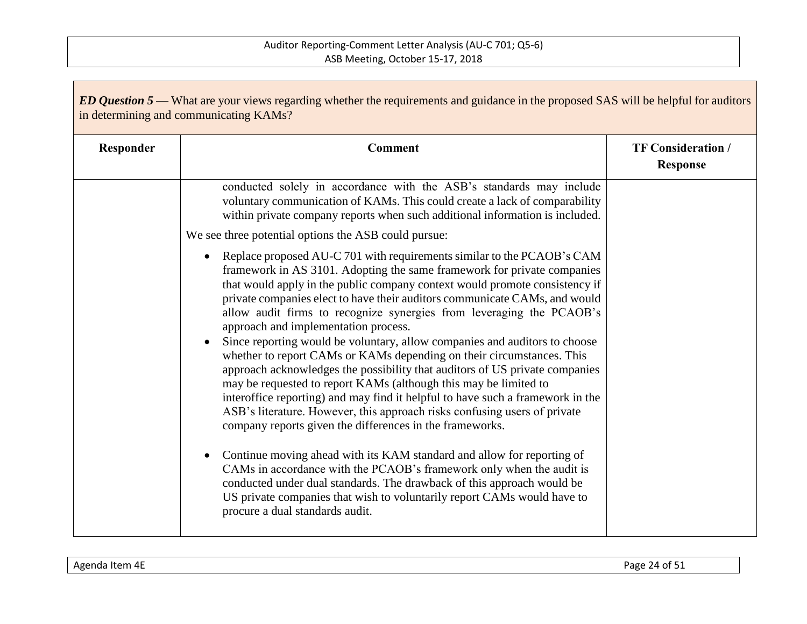| <b>ED Question 5</b> — What are your views regarding whether the requirements and guidance in the proposed SAS will be helpful for auditors<br>in determining and communicating KAMs? |                                                                                                                                                                                                                                                                                                                                                                                                                                                                                                                                                                                                                                                                                                                                                                                                                                                                                                                                                                                                                                                                                                                                                 |                                              |
|---------------------------------------------------------------------------------------------------------------------------------------------------------------------------------------|-------------------------------------------------------------------------------------------------------------------------------------------------------------------------------------------------------------------------------------------------------------------------------------------------------------------------------------------------------------------------------------------------------------------------------------------------------------------------------------------------------------------------------------------------------------------------------------------------------------------------------------------------------------------------------------------------------------------------------------------------------------------------------------------------------------------------------------------------------------------------------------------------------------------------------------------------------------------------------------------------------------------------------------------------------------------------------------------------------------------------------------------------|----------------------------------------------|
| Responder                                                                                                                                                                             | <b>Comment</b>                                                                                                                                                                                                                                                                                                                                                                                                                                                                                                                                                                                                                                                                                                                                                                                                                                                                                                                                                                                                                                                                                                                                  | <b>TF Consideration /</b><br><b>Response</b> |
|                                                                                                                                                                                       | conducted solely in accordance with the ASB's standards may include<br>voluntary communication of KAMs. This could create a lack of comparability<br>within private company reports when such additional information is included.                                                                                                                                                                                                                                                                                                                                                                                                                                                                                                                                                                                                                                                                                                                                                                                                                                                                                                               |                                              |
|                                                                                                                                                                                       | We see three potential options the ASB could pursue:                                                                                                                                                                                                                                                                                                                                                                                                                                                                                                                                                                                                                                                                                                                                                                                                                                                                                                                                                                                                                                                                                            |                                              |
|                                                                                                                                                                                       | Replace proposed AU-C 701 with requirements similar to the PCAOB's CAM<br>$\bullet$<br>framework in AS 3101. Adopting the same framework for private companies<br>that would apply in the public company context would promote consistency if<br>private companies elect to have their auditors communicate CAMs, and would<br>allow audit firms to recognize synergies from leveraging the PCAOB's<br>approach and implementation process.<br>Since reporting would be voluntary, allow companies and auditors to choose<br>whether to report CAMs or KAMs depending on their circumstances. This<br>approach acknowledges the possibility that auditors of US private companies<br>may be requested to report KAMs (although this may be limited to<br>interoffice reporting) and may find it helpful to have such a framework in the<br>ASB's literature. However, this approach risks confusing users of private<br>company reports given the differences in the frameworks.<br>Continue moving ahead with its KAM standard and allow for reporting of<br>$\bullet$<br>CAMs in accordance with the PCAOB's framework only when the audit is |                                              |
|                                                                                                                                                                                       | conducted under dual standards. The drawback of this approach would be<br>US private companies that wish to voluntarily report CAMs would have to<br>procure a dual standards audit.                                                                                                                                                                                                                                                                                                                                                                                                                                                                                                                                                                                                                                                                                                                                                                                                                                                                                                                                                            |                                              |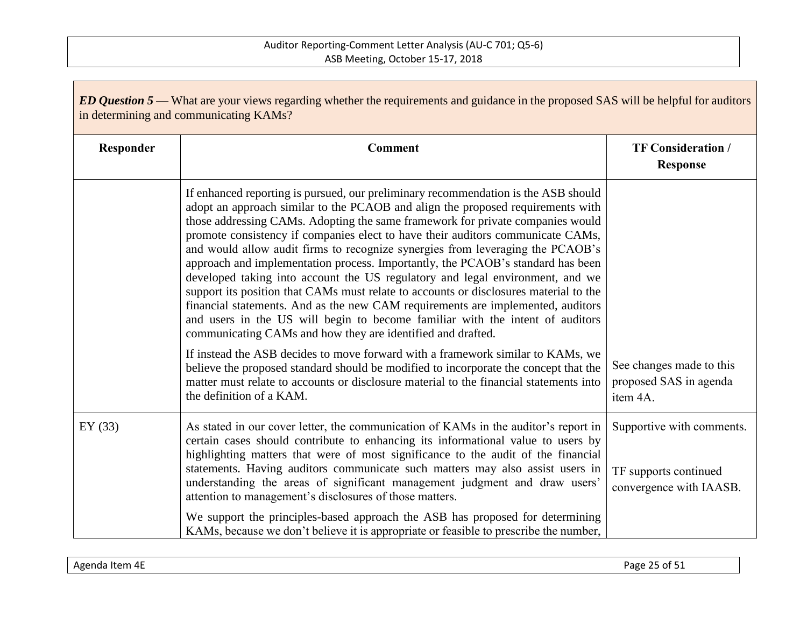| ED Question 5 — What are your views regarding whether the requirements and guidance in the proposed SAS will be helpful for auditors<br>in determining and communicating KAMs? |                                                                                                                                                                                                                                                                                                                                                                                                                                                                                                                                                                                                                                                                                                                                                                                                                                                                                                                              |                                                                               |
|--------------------------------------------------------------------------------------------------------------------------------------------------------------------------------|------------------------------------------------------------------------------------------------------------------------------------------------------------------------------------------------------------------------------------------------------------------------------------------------------------------------------------------------------------------------------------------------------------------------------------------------------------------------------------------------------------------------------------------------------------------------------------------------------------------------------------------------------------------------------------------------------------------------------------------------------------------------------------------------------------------------------------------------------------------------------------------------------------------------------|-------------------------------------------------------------------------------|
| Responder                                                                                                                                                                      | <b>Comment</b>                                                                                                                                                                                                                                                                                                                                                                                                                                                                                                                                                                                                                                                                                                                                                                                                                                                                                                               | <b>TF Consideration /</b><br><b>Response</b>                                  |
|                                                                                                                                                                                | If enhanced reporting is pursued, our preliminary recommendation is the ASB should<br>adopt an approach similar to the PCAOB and align the proposed requirements with<br>those addressing CAMs. Adopting the same framework for private companies would<br>promote consistency if companies elect to have their auditors communicate CAMs,<br>and would allow audit firms to recognize synergies from leveraging the PCAOB's<br>approach and implementation process. Importantly, the PCAOB's standard has been<br>developed taking into account the US regulatory and legal environment, and we<br>support its position that CAMs must relate to accounts or disclosures material to the<br>financial statements. And as the new CAM requirements are implemented, auditors<br>and users in the US will begin to become familiar with the intent of auditors<br>communicating CAMs and how they are identified and drafted. |                                                                               |
|                                                                                                                                                                                | If instead the ASB decides to move forward with a framework similar to KAMs, we<br>believe the proposed standard should be modified to incorporate the concept that the<br>matter must relate to accounts or disclosure material to the financial statements into<br>the definition of a KAM.                                                                                                                                                                                                                                                                                                                                                                                                                                                                                                                                                                                                                                | See changes made to this<br>proposed SAS in agenda<br>item 4A.                |
| EY $(33)$                                                                                                                                                                      | As stated in our cover letter, the communication of KAMs in the auditor's report in<br>certain cases should contribute to enhancing its informational value to users by<br>highlighting matters that were of most significance to the audit of the financial<br>statements. Having auditors communicate such matters may also assist users in<br>understanding the areas of significant management judgment and draw users'<br>attention to management's disclosures of those matters.                                                                                                                                                                                                                                                                                                                                                                                                                                       | Supportive with comments.<br>TF supports continued<br>convergence with IAASB. |
|                                                                                                                                                                                | We support the principles-based approach the ASB has proposed for determining<br>KAMs, because we don't believe it is appropriate or feasible to prescribe the number,                                                                                                                                                                                                                                                                                                                                                                                                                                                                                                                                                                                                                                                                                                                                                       |                                                                               |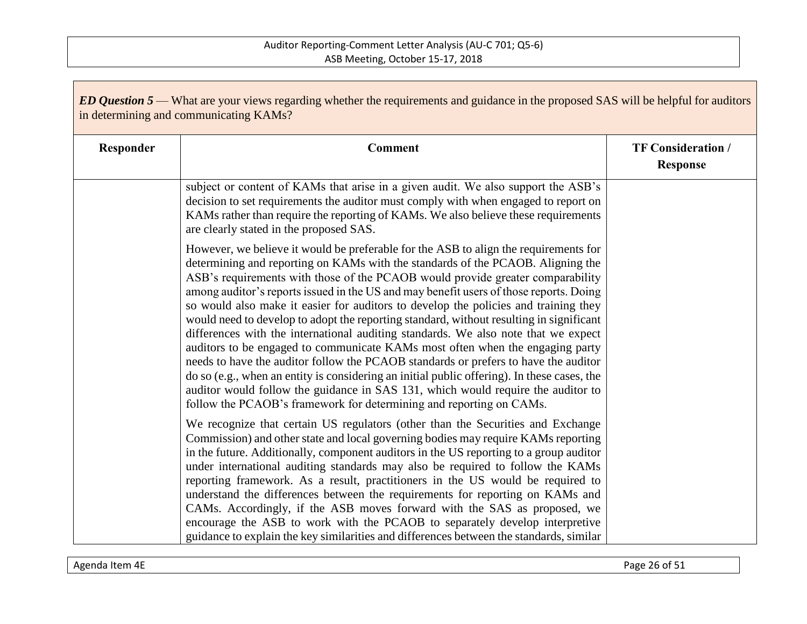| ED Question 5 — What are your views regarding whether the requirements and guidance in the proposed SAS will be helpful for auditors<br>in determining and communicating KAMs? |                                                                                                                                                                                                                                                                                                                                                                                                                                                                                                                                                                                                                                                                                                                                                                                                                                                                                                                                                                                                                                                               |                                              |
|--------------------------------------------------------------------------------------------------------------------------------------------------------------------------------|---------------------------------------------------------------------------------------------------------------------------------------------------------------------------------------------------------------------------------------------------------------------------------------------------------------------------------------------------------------------------------------------------------------------------------------------------------------------------------------------------------------------------------------------------------------------------------------------------------------------------------------------------------------------------------------------------------------------------------------------------------------------------------------------------------------------------------------------------------------------------------------------------------------------------------------------------------------------------------------------------------------------------------------------------------------|----------------------------------------------|
| Responder                                                                                                                                                                      | <b>Comment</b>                                                                                                                                                                                                                                                                                                                                                                                                                                                                                                                                                                                                                                                                                                                                                                                                                                                                                                                                                                                                                                                | <b>TF Consideration /</b><br><b>Response</b> |
|                                                                                                                                                                                | subject or content of KAMs that arise in a given audit. We also support the ASB's<br>decision to set requirements the auditor must comply with when engaged to report on<br>KAMs rather than require the reporting of KAMs. We also believe these requirements<br>are clearly stated in the proposed SAS.                                                                                                                                                                                                                                                                                                                                                                                                                                                                                                                                                                                                                                                                                                                                                     |                                              |
|                                                                                                                                                                                | However, we believe it would be preferable for the ASB to align the requirements for<br>determining and reporting on KAMs with the standards of the PCAOB. Aligning the<br>ASB's requirements with those of the PCAOB would provide greater comparability<br>among auditor's reports issued in the US and may benefit users of those reports. Doing<br>so would also make it easier for auditors to develop the policies and training they<br>would need to develop to adopt the reporting standard, without resulting in significant<br>differences with the international auditing standards. We also note that we expect<br>auditors to be engaged to communicate KAMs most often when the engaging party<br>needs to have the auditor follow the PCAOB standards or prefers to have the auditor<br>do so (e.g., when an entity is considering an initial public offering). In these cases, the<br>auditor would follow the guidance in SAS 131, which would require the auditor to<br>follow the PCAOB's framework for determining and reporting on CAMs. |                                              |
|                                                                                                                                                                                | We recognize that certain US regulators (other than the Securities and Exchange<br>Commission) and other state and local governing bodies may require KAMs reporting<br>in the future. Additionally, component auditors in the US reporting to a group auditor<br>under international auditing standards may also be required to follow the KAMs<br>reporting framework. As a result, practitioners in the US would be required to<br>understand the differences between the requirements for reporting on KAMs and<br>CAMs. Accordingly, if the ASB moves forward with the SAS as proposed, we<br>encourage the ASB to work with the PCAOB to separately develop interpretive<br>guidance to explain the key similarities and differences between the standards, similar                                                                                                                                                                                                                                                                                     |                                              |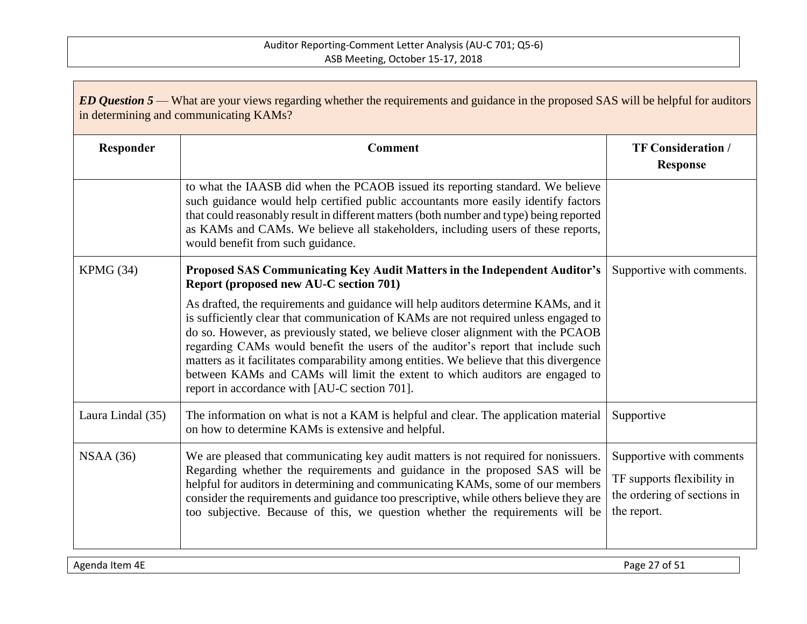| <b>ED Question 5</b> — What are your views regarding whether the requirements and guidance in the proposed SAS will be helpful for auditors<br>in determining and communicating KAMs? |                                                                                                                                                                                                                                                                                                                                                                                                                                                                                                                                                                                |                                                                                                      |
|---------------------------------------------------------------------------------------------------------------------------------------------------------------------------------------|--------------------------------------------------------------------------------------------------------------------------------------------------------------------------------------------------------------------------------------------------------------------------------------------------------------------------------------------------------------------------------------------------------------------------------------------------------------------------------------------------------------------------------------------------------------------------------|------------------------------------------------------------------------------------------------------|
| Responder                                                                                                                                                                             | <b>Comment</b>                                                                                                                                                                                                                                                                                                                                                                                                                                                                                                                                                                 | <b>TF Consideration /</b><br><b>Response</b>                                                         |
|                                                                                                                                                                                       | to what the IAASB did when the PCAOB issued its reporting standard. We believe<br>such guidance would help certified public accountants more easily identify factors<br>that could reasonably result in different matters (both number and type) being reported<br>as KAMs and CAMs. We believe all stakeholders, including users of these reports,<br>would benefit from such guidance.                                                                                                                                                                                       |                                                                                                      |
| KPMG (34)                                                                                                                                                                             | Proposed SAS Communicating Key Audit Matters in the Independent Auditor's<br>Report (proposed new AU-C section 701)                                                                                                                                                                                                                                                                                                                                                                                                                                                            | Supportive with comments.                                                                            |
|                                                                                                                                                                                       | As drafted, the requirements and guidance will help auditors determine KAMs, and it<br>is sufficiently clear that communication of KAMs are not required unless engaged to<br>do so. However, as previously stated, we believe closer alignment with the PCAOB<br>regarding CAMs would benefit the users of the auditor's report that include such<br>matters as it facilitates comparability among entities. We believe that this divergence<br>between KAMs and CAMs will limit the extent to which auditors are engaged to<br>report in accordance with [AU-C section 701]. |                                                                                                      |
| Laura Lindal (35)                                                                                                                                                                     | The information on what is not a KAM is helpful and clear. The application material<br>on how to determine KAMs is extensive and helpful.                                                                                                                                                                                                                                                                                                                                                                                                                                      | Supportive                                                                                           |
| NSAA(36)                                                                                                                                                                              | We are pleased that communicating key audit matters is not required for nonissuers.<br>Regarding whether the requirements and guidance in the proposed SAS will be<br>helpful for auditors in determining and communicating KAMs, some of our members<br>consider the requirements and guidance too prescriptive, while others believe they are<br>too subjective. Because of this, we question whether the requirements will be                                                                                                                                               | Supportive with comments<br>TF supports flexibility in<br>the ordering of sections in<br>the report. |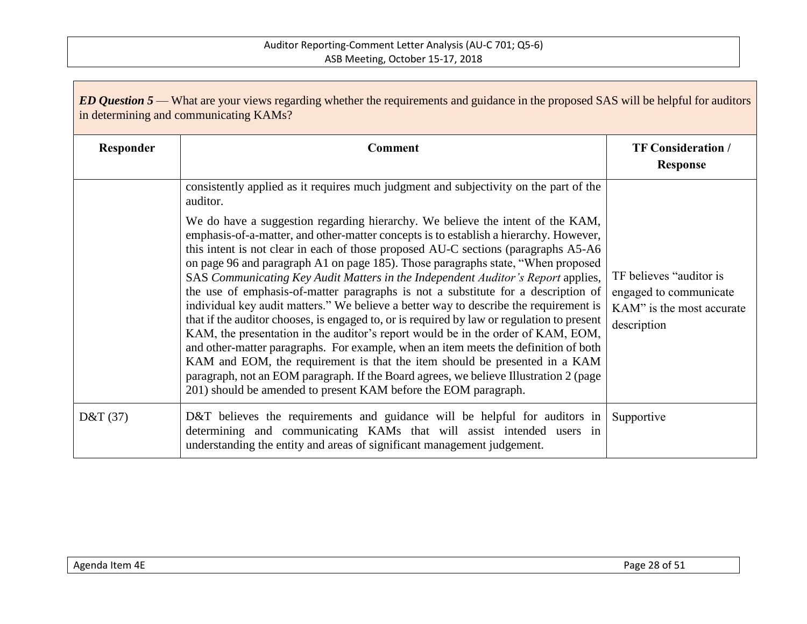| <b>ED Question 5</b> — What are your views regarding whether the requirements and guidance in the proposed SAS will be helpful for auditors<br>in determining and communicating KAMs? |                                                                                                                                                                                                                                                                                                                                                                                                                                                                                                                                                                                                                                                                                                                                                                                                                                                                                                                                                                                                                                                                                                                                        |                                                                                               |
|---------------------------------------------------------------------------------------------------------------------------------------------------------------------------------------|----------------------------------------------------------------------------------------------------------------------------------------------------------------------------------------------------------------------------------------------------------------------------------------------------------------------------------------------------------------------------------------------------------------------------------------------------------------------------------------------------------------------------------------------------------------------------------------------------------------------------------------------------------------------------------------------------------------------------------------------------------------------------------------------------------------------------------------------------------------------------------------------------------------------------------------------------------------------------------------------------------------------------------------------------------------------------------------------------------------------------------------|-----------------------------------------------------------------------------------------------|
| Responder                                                                                                                                                                             | <b>Comment</b>                                                                                                                                                                                                                                                                                                                                                                                                                                                                                                                                                                                                                                                                                                                                                                                                                                                                                                                                                                                                                                                                                                                         | <b>TF Consideration /</b><br><b>Response</b>                                                  |
|                                                                                                                                                                                       | consistently applied as it requires much judgment and subjectivity on the part of the<br>auditor.                                                                                                                                                                                                                                                                                                                                                                                                                                                                                                                                                                                                                                                                                                                                                                                                                                                                                                                                                                                                                                      |                                                                                               |
|                                                                                                                                                                                       | We do have a suggestion regarding hierarchy. We believe the intent of the KAM,<br>emphasis-of-a-matter, and other-matter concepts is to establish a hierarchy. However,<br>this intent is not clear in each of those proposed AU-C sections (paragraphs A5-A6<br>on page 96 and paragraph A1 on page 185). Those paragraphs state, "When proposed<br>SAS Communicating Key Audit Matters in the Independent Auditor's Report applies,<br>the use of emphasis-of-matter paragraphs is not a substitute for a description of<br>individual key audit matters." We believe a better way to describe the requirement is<br>that if the auditor chooses, is engaged to, or is required by law or regulation to present<br>KAM, the presentation in the auditor's report would be in the order of KAM, EOM,<br>and other-matter paragraphs. For example, when an item meets the definition of both<br>KAM and EOM, the requirement is that the item should be presented in a KAM<br>paragraph, not an EOM paragraph. If the Board agrees, we believe Illustration 2 (page<br>201) should be amended to present KAM before the EOM paragraph. | TF believes "auditor is<br>engaged to communicate<br>KAM" is the most accurate<br>description |
| D&T $(37)$                                                                                                                                                                            | D&T believes the requirements and guidance will be helpful for auditors in<br>determining and communicating KAMs that will assist intended users in<br>understanding the entity and areas of significant management judgement.                                                                                                                                                                                                                                                                                                                                                                                                                                                                                                                                                                                                                                                                                                                                                                                                                                                                                                         | Supportive                                                                                    |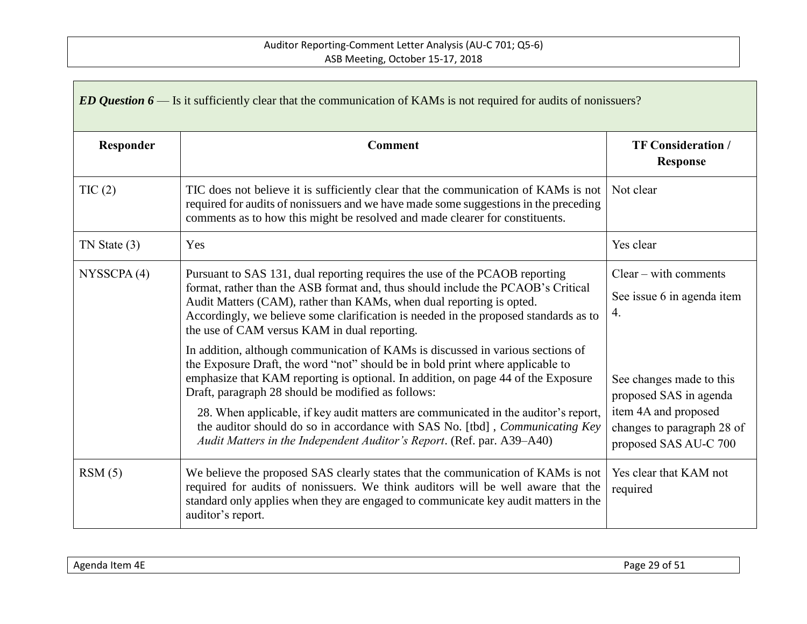| ED Question $6$ — Is it sufficiently clear that the communication of KAMs is not required for audits of nonissuers? |                                                                                                                                                                                                                                                                                                                                                                                                                                                                                                                                                                      |                                                                                                                                   |
|---------------------------------------------------------------------------------------------------------------------|----------------------------------------------------------------------------------------------------------------------------------------------------------------------------------------------------------------------------------------------------------------------------------------------------------------------------------------------------------------------------------------------------------------------------------------------------------------------------------------------------------------------------------------------------------------------|-----------------------------------------------------------------------------------------------------------------------------------|
| Responder                                                                                                           | <b>Comment</b>                                                                                                                                                                                                                                                                                                                                                                                                                                                                                                                                                       | <b>TF Consideration /</b><br><b>Response</b>                                                                                      |
| TIC(2)                                                                                                              | TIC does not believe it is sufficiently clear that the communication of KAMs is not<br>required for audits of nonissuers and we have made some suggestions in the preceding<br>comments as to how this might be resolved and made clearer for constituents.                                                                                                                                                                                                                                                                                                          | Not clear                                                                                                                         |
| $TN$ State $(3)$                                                                                                    | Yes                                                                                                                                                                                                                                                                                                                                                                                                                                                                                                                                                                  | Yes clear                                                                                                                         |
| NYSSCPA(4)                                                                                                          | Pursuant to SAS 131, dual reporting requires the use of the PCAOB reporting<br>format, rather than the ASB format and, thus should include the PCAOB's Critical<br>Audit Matters (CAM), rather than KAMs, when dual reporting is opted.<br>Accordingly, we believe some clarification is needed in the proposed standards as to<br>the use of CAM versus KAM in dual reporting.                                                                                                                                                                                      | $Clear - with comments$<br>See issue 6 in agenda item<br>4.                                                                       |
|                                                                                                                     | In addition, although communication of KAMs is discussed in various sections of<br>the Exposure Draft, the word "not" should be in bold print where applicable to<br>emphasize that KAM reporting is optional. In addition, on page 44 of the Exposure<br>Draft, paragraph 28 should be modified as follows:<br>28. When applicable, if key audit matters are communicated in the auditor's report,<br>the auditor should do so in accordance with SAS No. [tbd], <i>Communicating Key</i><br>Audit Matters in the Independent Auditor's Report. (Ref. par. A39–A40) | See changes made to this<br>proposed SAS in agenda<br>item 4A and proposed<br>changes to paragraph 28 of<br>proposed SAS AU-C 700 |
| RSM(5)                                                                                                              | We believe the proposed SAS clearly states that the communication of KAMs is not<br>required for audits of nonissuers. We think auditors will be well aware that the<br>standard only applies when they are engaged to communicate key audit matters in the<br>auditor's report.                                                                                                                                                                                                                                                                                     | Yes clear that KAM not<br>required                                                                                                |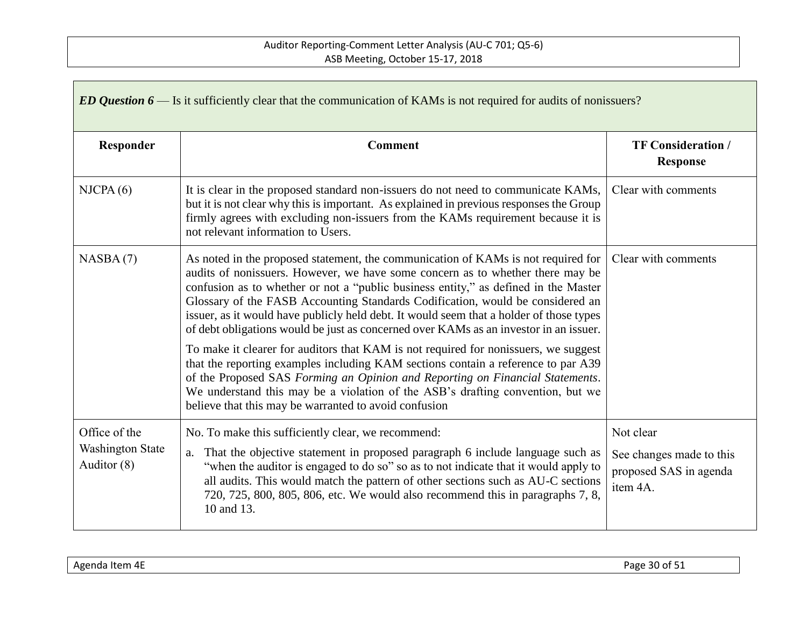| ED Question $6$ — Is it sufficiently clear that the communication of KAMs is not required for audits of nonissuers? |                                                                                                                                                                                                                                                                                                                                                                                                                                                                                                                                  |                                                                             |
|---------------------------------------------------------------------------------------------------------------------|----------------------------------------------------------------------------------------------------------------------------------------------------------------------------------------------------------------------------------------------------------------------------------------------------------------------------------------------------------------------------------------------------------------------------------------------------------------------------------------------------------------------------------|-----------------------------------------------------------------------------|
| Responder                                                                                                           | <b>Comment</b>                                                                                                                                                                                                                                                                                                                                                                                                                                                                                                                   | <b>TF Consideration /</b><br><b>Response</b>                                |
| NICPA(6)                                                                                                            | It is clear in the proposed standard non-issuers do not need to communicate KAMs,<br>but it is not clear why this is important. As explained in previous responses the Group<br>firmly agrees with excluding non-issuers from the KAMs requirement because it is<br>not relevant information to Users.                                                                                                                                                                                                                           | Clear with comments                                                         |
| NASBA(7)                                                                                                            | As noted in the proposed statement, the communication of KAMs is not required for<br>audits of nonissuers. However, we have some concern as to whether there may be<br>confusion as to whether or not a "public business entity," as defined in the Master<br>Glossary of the FASB Accounting Standards Codification, would be considered an<br>issuer, as it would have publicly held debt. It would seem that a holder of those types<br>of debt obligations would be just as concerned over KAMs as an investor in an issuer. | Clear with comments                                                         |
|                                                                                                                     | To make it clearer for auditors that KAM is not required for nonissuers, we suggest<br>that the reporting examples including KAM sections contain a reference to par A39<br>of the Proposed SAS Forming an Opinion and Reporting on Financial Statements.<br>We understand this may be a violation of the ASB's drafting convention, but we<br>believe that this may be warranted to avoid confusion                                                                                                                             |                                                                             |
| Office of the<br>Washington State<br>Auditor (8)                                                                    | No. To make this sufficiently clear, we recommend:<br>That the objective statement in proposed paragraph 6 include language such as<br>a.<br>"when the auditor is engaged to do so" so as to not indicate that it would apply to<br>all audits. This would match the pattern of other sections such as AU-C sections<br>720, 725, 800, 805, 806, etc. We would also recommend this in paragraphs 7, 8,<br>10 and 13.                                                                                                             | Not clear<br>See changes made to this<br>proposed SAS in agenda<br>item 4A. |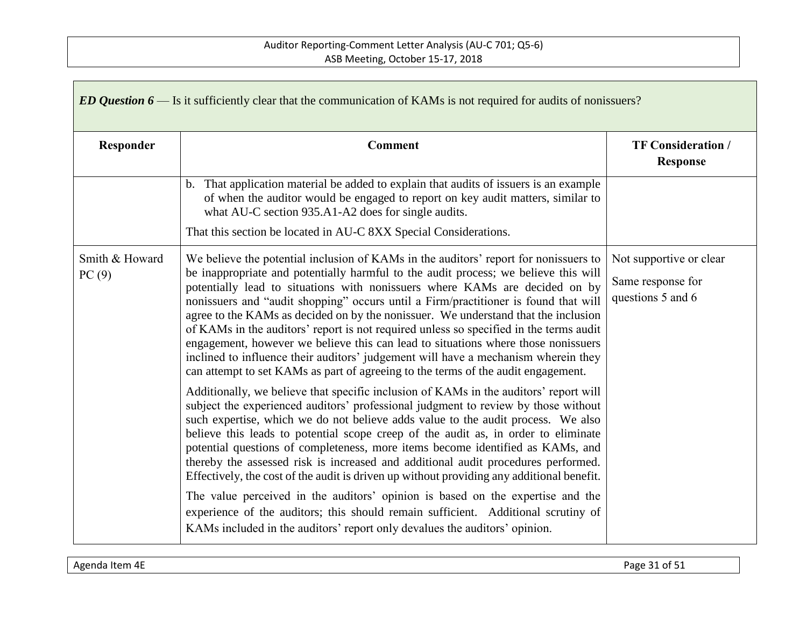| ED Question $6$ — Is it sufficiently clear that the communication of KAMs is not required for audits of nonissuers? |                                                                                                                                                                                                                                                                                                                                                                                                                                                                                                                                                                                                                                                                                                                                                                                                                                                                                |                                                                   |
|---------------------------------------------------------------------------------------------------------------------|--------------------------------------------------------------------------------------------------------------------------------------------------------------------------------------------------------------------------------------------------------------------------------------------------------------------------------------------------------------------------------------------------------------------------------------------------------------------------------------------------------------------------------------------------------------------------------------------------------------------------------------------------------------------------------------------------------------------------------------------------------------------------------------------------------------------------------------------------------------------------------|-------------------------------------------------------------------|
| Responder                                                                                                           | <b>Comment</b>                                                                                                                                                                                                                                                                                                                                                                                                                                                                                                                                                                                                                                                                                                                                                                                                                                                                 | <b>TF Consideration /</b><br><b>Response</b>                      |
|                                                                                                                     | b. That application material be added to explain that audits of issuers is an example<br>of when the auditor would be engaged to report on key audit matters, similar to<br>what AU-C section 935.A1-A2 does for single audits.                                                                                                                                                                                                                                                                                                                                                                                                                                                                                                                                                                                                                                                |                                                                   |
|                                                                                                                     | That this section be located in AU-C 8XX Special Considerations.                                                                                                                                                                                                                                                                                                                                                                                                                                                                                                                                                                                                                                                                                                                                                                                                               |                                                                   |
| Smith & Howard<br>PC(9)                                                                                             | We believe the potential inclusion of KAMs in the auditors' report for nonissuers to<br>be inappropriate and potentially harmful to the audit process; we believe this will<br>potentially lead to situations with nonissuers where KAMs are decided on by<br>nonissuers and "audit shopping" occurs until a Firm/practitioner is found that will<br>agree to the KAMs as decided on by the nonissuer. We understand that the inclusion<br>of KAMs in the auditors' report is not required unless so specified in the terms audit<br>engagement, however we believe this can lead to situations where those nonissuers<br>inclined to influence their auditors' judgement will have a mechanism wherein they<br>can attempt to set KAMs as part of agreeing to the terms of the audit engagement.                                                                              | Not supportive or clear<br>Same response for<br>questions 5 and 6 |
|                                                                                                                     | Additionally, we believe that specific inclusion of KAMs in the auditors' report will<br>subject the experienced auditors' professional judgment to review by those without<br>such expertise, which we do not believe adds value to the audit process. We also<br>believe this leads to potential scope creep of the audit as, in order to eliminate<br>potential questions of completeness, more items become identified as KAMs, and<br>thereby the assessed risk is increased and additional audit procedures performed.<br>Effectively, the cost of the audit is driven up without providing any additional benefit.<br>The value perceived in the auditors' opinion is based on the expertise and the<br>experience of the auditors; this should remain sufficient. Additional scrutiny of<br>KAMs included in the auditors' report only devalues the auditors' opinion. |                                                                   |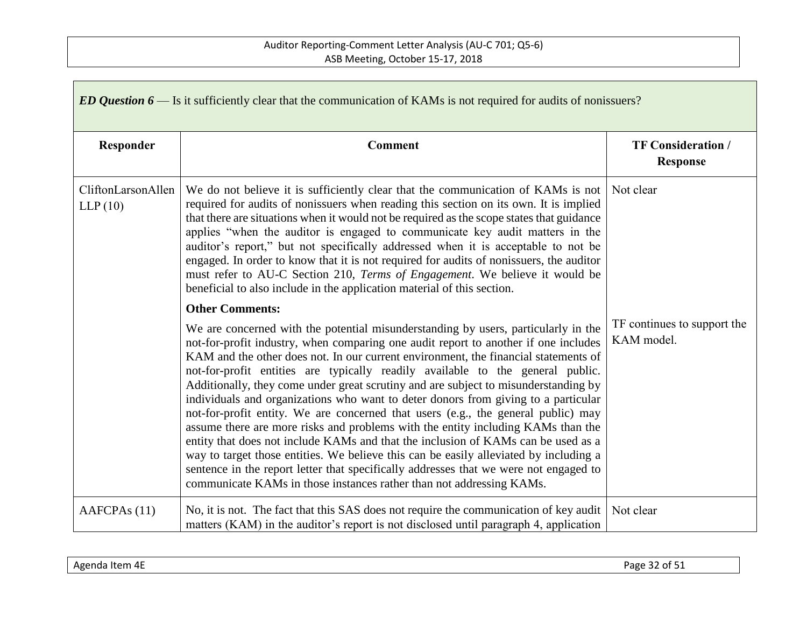| ED Question $6$ — Is it sufficiently clear that the communication of KAMs is not required for audits of nonissuers? |                                                                                                                                                                                                                                                                                                                                                                                                                                                                                                                                                                                                                                                                                                                                                                                                                                                                                                                                                                                                                                                                                   |                                              |
|---------------------------------------------------------------------------------------------------------------------|-----------------------------------------------------------------------------------------------------------------------------------------------------------------------------------------------------------------------------------------------------------------------------------------------------------------------------------------------------------------------------------------------------------------------------------------------------------------------------------------------------------------------------------------------------------------------------------------------------------------------------------------------------------------------------------------------------------------------------------------------------------------------------------------------------------------------------------------------------------------------------------------------------------------------------------------------------------------------------------------------------------------------------------------------------------------------------------|----------------------------------------------|
| Responder                                                                                                           | <b>Comment</b>                                                                                                                                                                                                                                                                                                                                                                                                                                                                                                                                                                                                                                                                                                                                                                                                                                                                                                                                                                                                                                                                    | <b>TF Consideration /</b><br><b>Response</b> |
| CliftonLarsonAllen<br>LLP(10)                                                                                       | We do not believe it is sufficiently clear that the communication of KAMs is not<br>required for audits of nonissuers when reading this section on its own. It is implied<br>that there are situations when it would not be required as the scope states that guidance<br>applies "when the auditor is engaged to communicate key audit matters in the<br>auditor's report," but not specifically addressed when it is acceptable to not be<br>engaged. In order to know that it is not required for audits of nonissuers, the auditor<br>must refer to AU-C Section 210, Terms of Engagement. We believe it would be<br>beneficial to also include in the application material of this section.                                                                                                                                                                                                                                                                                                                                                                                  | Not clear                                    |
|                                                                                                                     | <b>Other Comments:</b><br>We are concerned with the potential misunderstanding by users, particularly in the<br>not-for-profit industry, when comparing one audit report to another if one includes<br>KAM and the other does not. In our current environment, the financial statements of<br>not-for-profit entities are typically readily available to the general public.<br>Additionally, they come under great scrutiny and are subject to misunderstanding by<br>individuals and organizations who want to deter donors from giving to a particular<br>not-for-profit entity. We are concerned that users (e.g., the general public) may<br>assume there are more risks and problems with the entity including KAMs than the<br>entity that does not include KAMs and that the inclusion of KAMs can be used as a<br>way to target those entities. We believe this can be easily alleviated by including a<br>sentence in the report letter that specifically addresses that we were not engaged to<br>communicate KAMs in those instances rather than not addressing KAMs. | TF continues to support the<br>KAM model.    |
| AAFCPA <sub>s</sub> (11)                                                                                            | No, it is not. The fact that this SAS does not require the communication of key audit<br>matters (KAM) in the auditor's report is not disclosed until paragraph 4, application                                                                                                                                                                                                                                                                                                                                                                                                                                                                                                                                                                                                                                                                                                                                                                                                                                                                                                    | Not clear                                    |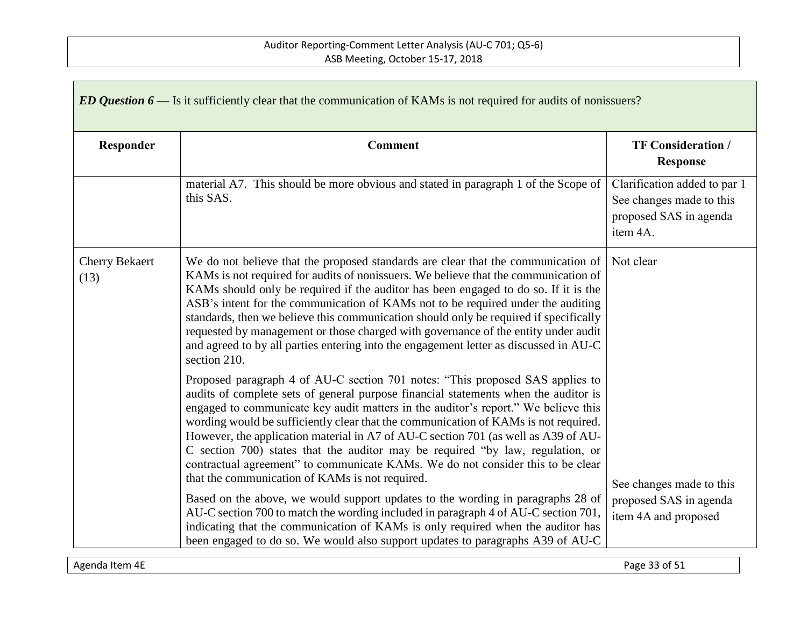| ED Question $6$ — Is it sufficiently clear that the communication of KAMs is not required for audits of nonissuers? |                                                                                                                                                                                                                                                                                                                                                                                                                                                                                                                                                                                                                                                                 |                                                                                                |
|---------------------------------------------------------------------------------------------------------------------|-----------------------------------------------------------------------------------------------------------------------------------------------------------------------------------------------------------------------------------------------------------------------------------------------------------------------------------------------------------------------------------------------------------------------------------------------------------------------------------------------------------------------------------------------------------------------------------------------------------------------------------------------------------------|------------------------------------------------------------------------------------------------|
| Responder                                                                                                           | <b>Comment</b>                                                                                                                                                                                                                                                                                                                                                                                                                                                                                                                                                                                                                                                  | <b>TF Consideration /</b><br><b>Response</b>                                                   |
|                                                                                                                     | material A7. This should be more obvious and stated in paragraph 1 of the Scope of<br>this SAS.                                                                                                                                                                                                                                                                                                                                                                                                                                                                                                                                                                 | Clarification added to par 1<br>See changes made to this<br>proposed SAS in agenda<br>item 4A. |
| <b>Cherry Bekaert</b><br>(13)                                                                                       | We do not believe that the proposed standards are clear that the communication of<br>KAMs is not required for audits of nonissuers. We believe that the communication of<br>KAMs should only be required if the auditor has been engaged to do so. If it is the<br>ASB's intent for the communication of KAMs not to be required under the auditing<br>standards, then we believe this communication should only be required if specifically<br>requested by management or those charged with governance of the entity under audit<br>and agreed to by all parties entering into the engagement letter as discussed in AU-C<br>section 210.                     | Not clear                                                                                      |
|                                                                                                                     | Proposed paragraph 4 of AU-C section 701 notes: "This proposed SAS applies to<br>audits of complete sets of general purpose financial statements when the auditor is<br>engaged to communicate key audit matters in the auditor's report." We believe this<br>wording would be sufficiently clear that the communication of KAMs is not required.<br>However, the application material in A7 of AU-C section 701 (as well as A39 of AU-<br>C section 700) states that the auditor may be required "by law, regulation, or<br>contractual agreement" to communicate KAMs. We do not consider this to be clear<br>that the communication of KAMs is not required. | See changes made to this                                                                       |
|                                                                                                                     | Based on the above, we would support updates to the wording in paragraphs 28 of<br>AU-C section 700 to match the wording included in paragraph 4 of AU-C section 701,<br>indicating that the communication of KAMs is only required when the auditor has<br>been engaged to do so. We would also support updates to paragraphs A39 of AU-C                                                                                                                                                                                                                                                                                                                      | proposed SAS in agenda<br>item 4A and proposed                                                 |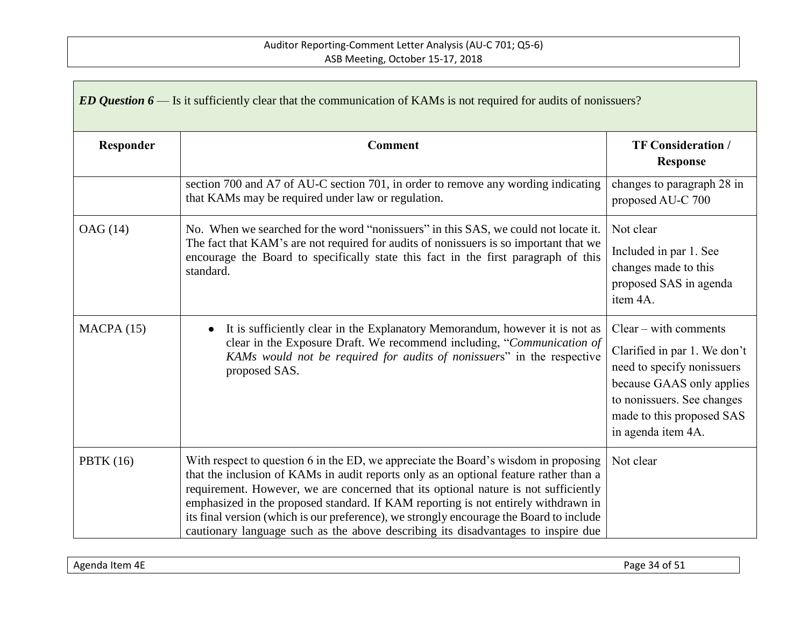| ED Question $6$ — Is it sufficiently clear that the communication of KAMs is not required for audits of nonissuers? |                                                                                                                                                                                                                                                                                                                                                                                                                                                                                                                                           |                                                                                                                                                                                                     |
|---------------------------------------------------------------------------------------------------------------------|-------------------------------------------------------------------------------------------------------------------------------------------------------------------------------------------------------------------------------------------------------------------------------------------------------------------------------------------------------------------------------------------------------------------------------------------------------------------------------------------------------------------------------------------|-----------------------------------------------------------------------------------------------------------------------------------------------------------------------------------------------------|
| Responder                                                                                                           | <b>Comment</b>                                                                                                                                                                                                                                                                                                                                                                                                                                                                                                                            | <b>TF Consideration /</b><br><b>Response</b>                                                                                                                                                        |
|                                                                                                                     | section 700 and A7 of AU-C section 701, in order to remove any wording indicating<br>that KAMs may be required under law or regulation.                                                                                                                                                                                                                                                                                                                                                                                                   | changes to paragraph 28 in<br>proposed AU-C 700                                                                                                                                                     |
| OAG (14)                                                                                                            | No. When we searched for the word "nonissuers" in this SAS, we could not locate it.<br>The fact that KAM's are not required for audits of nonissuers is so important that we<br>encourage the Board to specifically state this fact in the first paragraph of this<br>standard.                                                                                                                                                                                                                                                           | Not clear<br>Included in par 1. See<br>changes made to this<br>proposed SAS in agenda<br>item 4A.                                                                                                   |
| MACPA(15)                                                                                                           | It is sufficiently clear in the Explanatory Memorandum, however it is not as<br>clear in the Exposure Draft. We recommend including, "Communication of<br>KAMs would not be required for audits of nonissuers" in the respective<br>proposed SAS.                                                                                                                                                                                                                                                                                         | $Clear - with comments$<br>Clarified in par 1. We don't<br>need to specify nonissuers<br>because GAAS only applies<br>to nonissuers. See changes<br>made to this proposed SAS<br>in agenda item 4A. |
| <b>PBTK</b> (16)                                                                                                    | With respect to question 6 in the ED, we appreciate the Board's wisdom in proposing<br>that the inclusion of KAMs in audit reports only as an optional feature rather than a<br>requirement. However, we are concerned that its optional nature is not sufficiently<br>emphasized in the proposed standard. If KAM reporting is not entirely withdrawn in<br>its final version (which is our preference), we strongly encourage the Board to include<br>cautionary language such as the above describing its disadvantages to inspire due | Not clear                                                                                                                                                                                           |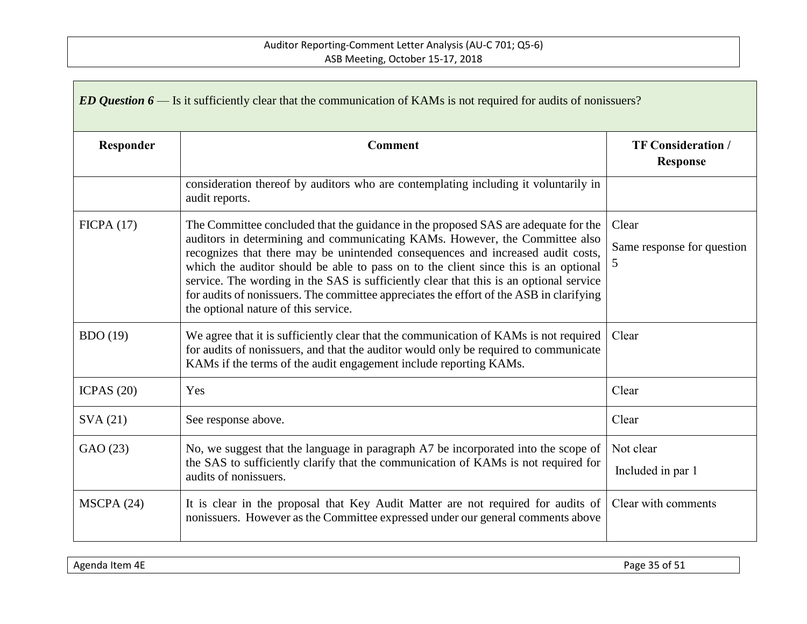| ED Question $6$ — Is it sufficiently clear that the communication of KAMs is not required for audits of nonissuers? |                                                                                                                                                                                                                                                                                                                                                                                                                                                                                                                                                                          |                                              |
|---------------------------------------------------------------------------------------------------------------------|--------------------------------------------------------------------------------------------------------------------------------------------------------------------------------------------------------------------------------------------------------------------------------------------------------------------------------------------------------------------------------------------------------------------------------------------------------------------------------------------------------------------------------------------------------------------------|----------------------------------------------|
| Responder                                                                                                           | <b>Comment</b>                                                                                                                                                                                                                                                                                                                                                                                                                                                                                                                                                           | <b>TF Consideration /</b><br><b>Response</b> |
|                                                                                                                     | consideration thereof by auditors who are contemplating including it voluntarily in<br>audit reports.                                                                                                                                                                                                                                                                                                                                                                                                                                                                    |                                              |
| FICPA(17)                                                                                                           | The Committee concluded that the guidance in the proposed SAS are adequate for the<br>auditors in determining and communicating KAMs. However, the Committee also<br>recognizes that there may be unintended consequences and increased audit costs,<br>which the auditor should be able to pass on to the client since this is an optional<br>service. The wording in the SAS is sufficiently clear that this is an optional service<br>for audits of nonissuers. The committee appreciates the effort of the ASB in clarifying<br>the optional nature of this service. | Clear<br>Same response for question<br>5     |
| BDO(19)                                                                                                             | We agree that it is sufficiently clear that the communication of KAMs is not required<br>for audits of nonissuers, and that the auditor would only be required to communicate<br>KAMs if the terms of the audit engagement include reporting KAMs.                                                                                                                                                                                                                                                                                                                       | Clear                                        |
| ICPAS $(20)$                                                                                                        | Yes                                                                                                                                                                                                                                                                                                                                                                                                                                                                                                                                                                      | Clear                                        |
| SVA(21)                                                                                                             | See response above.                                                                                                                                                                                                                                                                                                                                                                                                                                                                                                                                                      | Clear                                        |
| GAO (23)                                                                                                            | No, we suggest that the language in paragraph A7 be incorporated into the scope of<br>the SAS to sufficiently clarify that the communication of KAMs is not required for<br>audits of nonissuers.                                                                                                                                                                                                                                                                                                                                                                        | Not clear<br>Included in par 1               |
| MSCPA (24)                                                                                                          | It is clear in the proposal that Key Audit Matter are not required for audits of<br>nonissuers. However as the Committee expressed under our general comments above                                                                                                                                                                                                                                                                                                                                                                                                      | Clear with comments                          |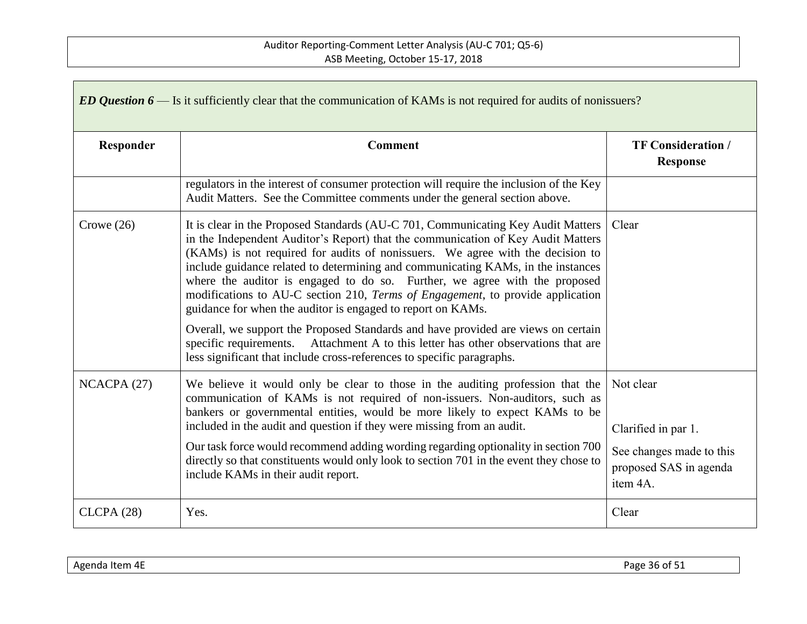| ED Question $6$ — Is it sufficiently clear that the communication of KAMs is not required for audits of nonissuers? |                                                                                                                                                                                                                                                                                                                                                                                                                                                                                                                                                                                                                                                                |                                                                |  |  |
|---------------------------------------------------------------------------------------------------------------------|----------------------------------------------------------------------------------------------------------------------------------------------------------------------------------------------------------------------------------------------------------------------------------------------------------------------------------------------------------------------------------------------------------------------------------------------------------------------------------------------------------------------------------------------------------------------------------------------------------------------------------------------------------------|----------------------------------------------------------------|--|--|
| Responder                                                                                                           | <b>Comment</b>                                                                                                                                                                                                                                                                                                                                                                                                                                                                                                                                                                                                                                                 | <b>TF Consideration /</b><br><b>Response</b>                   |  |  |
|                                                                                                                     | regulators in the interest of consumer protection will require the inclusion of the Key<br>Audit Matters. See the Committee comments under the general section above.                                                                                                                                                                                                                                                                                                                                                                                                                                                                                          |                                                                |  |  |
| Crowe $(26)$                                                                                                        | It is clear in the Proposed Standards (AU-C 701, Communicating Key Audit Matters<br>in the Independent Auditor's Report) that the communication of Key Audit Matters<br>(KAMs) is not required for audits of nonissuers. We agree with the decision to<br>include guidance related to determining and communicating KAMs, in the instances<br>where the auditor is engaged to do so. Further, we agree with the proposed<br>modifications to AU-C section 210, Terms of Engagement, to provide application<br>guidance for when the auditor is engaged to report on KAMs.<br>Overall, we support the Proposed Standards and have provided are views on certain | Clear                                                          |  |  |
|                                                                                                                     | Attachment A to this letter has other observations that are<br>specific requirements.<br>less significant that include cross-references to specific paragraphs.                                                                                                                                                                                                                                                                                                                                                                                                                                                                                                |                                                                |  |  |
| NCACPA(27)                                                                                                          | We believe it would only be clear to those in the auditing profession that the<br>communication of KAMs is not required of non-issuers. Non-auditors, such as<br>bankers or governmental entities, would be more likely to expect KAMs to be<br>included in the audit and question if they were missing from an audit.                                                                                                                                                                                                                                                                                                                                         | Not clear<br>Clarified in par 1.                               |  |  |
|                                                                                                                     | Our task force would recommend adding wording regarding optionality in section 700<br>directly so that constituents would only look to section 701 in the event they chose to<br>include KAMs in their audit report.                                                                                                                                                                                                                                                                                                                                                                                                                                           | See changes made to this<br>proposed SAS in agenda<br>item 4A. |  |  |
| CLCPA(28)                                                                                                           | Yes.                                                                                                                                                                                                                                                                                                                                                                                                                                                                                                                                                                                                                                                           | Clear                                                          |  |  |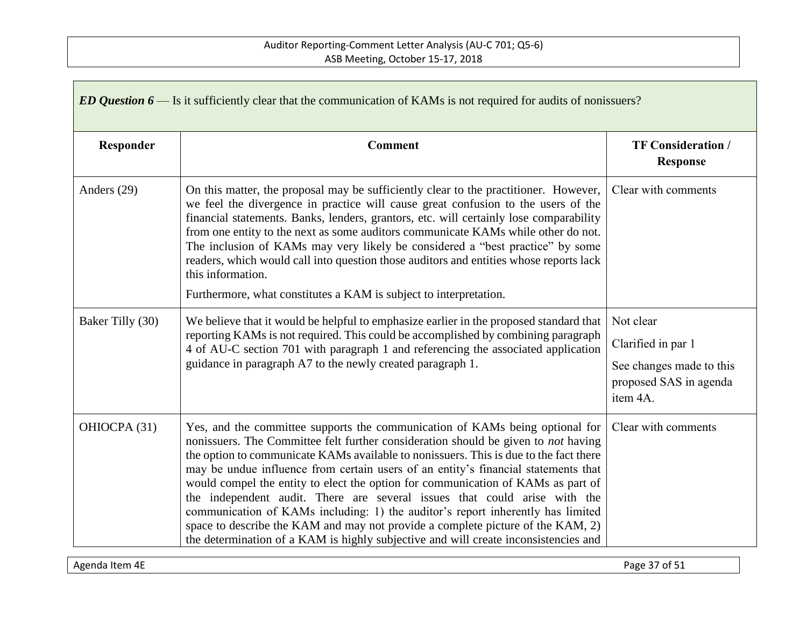| ED Question $6$ — Is it sufficiently clear that the communication of KAMs is not required for audits of nonissuers? |                                                                                                                                                                                                                                                                                                                                                                                                                                                                                                                                                                                                                                                                                                                                                                                        |                                                                                                   |  |  |
|---------------------------------------------------------------------------------------------------------------------|----------------------------------------------------------------------------------------------------------------------------------------------------------------------------------------------------------------------------------------------------------------------------------------------------------------------------------------------------------------------------------------------------------------------------------------------------------------------------------------------------------------------------------------------------------------------------------------------------------------------------------------------------------------------------------------------------------------------------------------------------------------------------------------|---------------------------------------------------------------------------------------------------|--|--|
| Responder                                                                                                           | <b>Comment</b>                                                                                                                                                                                                                                                                                                                                                                                                                                                                                                                                                                                                                                                                                                                                                                         | <b>TF Consideration /</b><br><b>Response</b>                                                      |  |  |
| Anders (29)                                                                                                         | On this matter, the proposal may be sufficiently clear to the practitioner. However,<br>we feel the divergence in practice will cause great confusion to the users of the<br>financial statements. Banks, lenders, grantors, etc. will certainly lose comparability<br>from one entity to the next as some auditors communicate KAMs while other do not.<br>The inclusion of KAMs may very likely be considered a "best practice" by some<br>readers, which would call into question those auditors and entities whose reports lack<br>this information.<br>Furthermore, what constitutes a KAM is subject to interpretation.                                                                                                                                                          | Clear with comments                                                                               |  |  |
| Baker Tilly (30)                                                                                                    | We believe that it would be helpful to emphasize earlier in the proposed standard that<br>reporting KAMs is not required. This could be accomplished by combining paragraph<br>4 of AU-C section 701 with paragraph 1 and referencing the associated application<br>guidance in paragraph A7 to the newly created paragraph 1.                                                                                                                                                                                                                                                                                                                                                                                                                                                         | Not clear<br>Clarified in par 1<br>See changes made to this<br>proposed SAS in agenda<br>item 4A. |  |  |
| OHIOCPA (31)                                                                                                        | Yes, and the committee supports the communication of KAMs being optional for<br>nonissuers. The Committee felt further consideration should be given to <i>not</i> having<br>the option to communicate KAMs available to nonissuers. This is due to the fact there<br>may be undue influence from certain users of an entity's financial statements that<br>would compel the entity to elect the option for communication of KAMs as part of<br>the independent audit. There are several issues that could arise with the<br>communication of KAMs including: 1) the auditor's report inherently has limited<br>space to describe the KAM and may not provide a complete picture of the KAM, 2)<br>the determination of a KAM is highly subjective and will create inconsistencies and | Clear with comments                                                                               |  |  |

Agenda Item 4E Page 37 of 51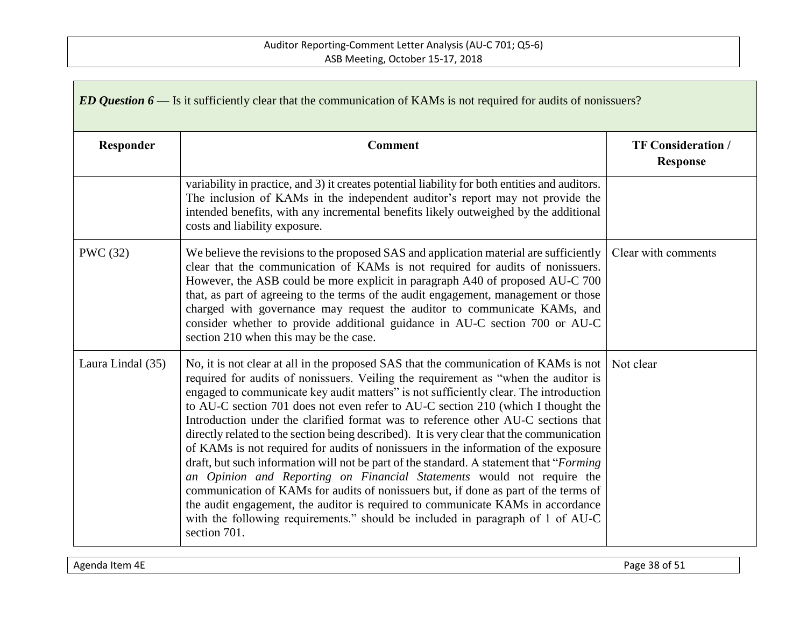| ED Question $6$ — Is it sufficiently clear that the communication of KAMs is not required for audits of nonissuers? |                                                                                                                                                                                                                                                                                                                                                                                                                                                                                                                                                                                                                                                                                                                                                                                                                                                                                                                                                                                                                                                                                    |                                              |  |  |
|---------------------------------------------------------------------------------------------------------------------|------------------------------------------------------------------------------------------------------------------------------------------------------------------------------------------------------------------------------------------------------------------------------------------------------------------------------------------------------------------------------------------------------------------------------------------------------------------------------------------------------------------------------------------------------------------------------------------------------------------------------------------------------------------------------------------------------------------------------------------------------------------------------------------------------------------------------------------------------------------------------------------------------------------------------------------------------------------------------------------------------------------------------------------------------------------------------------|----------------------------------------------|--|--|
| Responder                                                                                                           | <b>Comment</b>                                                                                                                                                                                                                                                                                                                                                                                                                                                                                                                                                                                                                                                                                                                                                                                                                                                                                                                                                                                                                                                                     | <b>TF Consideration /</b><br><b>Response</b> |  |  |
|                                                                                                                     | variability in practice, and 3) it creates potential liability for both entities and auditors.<br>The inclusion of KAMs in the independent auditor's report may not provide the<br>intended benefits, with any incremental benefits likely outweighed by the additional<br>costs and liability exposure.                                                                                                                                                                                                                                                                                                                                                                                                                                                                                                                                                                                                                                                                                                                                                                           |                                              |  |  |
| <b>PWC</b> (32)                                                                                                     | We believe the revisions to the proposed SAS and application material are sufficiently<br>clear that the communication of KAMs is not required for audits of nonissuers.<br>However, the ASB could be more explicit in paragraph A40 of proposed AU-C 700<br>that, as part of agreeing to the terms of the audit engagement, management or those<br>charged with governance may request the auditor to communicate KAMs, and<br>consider whether to provide additional guidance in AU-C section 700 or AU-C<br>section 210 when this may be the case.                                                                                                                                                                                                                                                                                                                                                                                                                                                                                                                              | Clear with comments                          |  |  |
| Laura Lindal (35)                                                                                                   | No, it is not clear at all in the proposed SAS that the communication of KAMs is not<br>required for audits of nonissuers. Veiling the requirement as "when the auditor is<br>engaged to communicate key audit matters" is not sufficiently clear. The introduction<br>to AU-C section 701 does not even refer to AU-C section 210 (which I thought the<br>Introduction under the clarified format was to reference other AU-C sections that<br>directly related to the section being described). It is very clear that the communication<br>of KAMs is not required for audits of nonissuers in the information of the exposure<br>draft, but such information will not be part of the standard. A statement that "Forming"<br>an Opinion and Reporting on Financial Statements would not require the<br>communication of KAMs for audits of nonissuers but, if done as part of the terms of<br>the audit engagement, the auditor is required to communicate KAMs in accordance<br>with the following requirements." should be included in paragraph of 1 of AU-C<br>section 701. | Not clear                                    |  |  |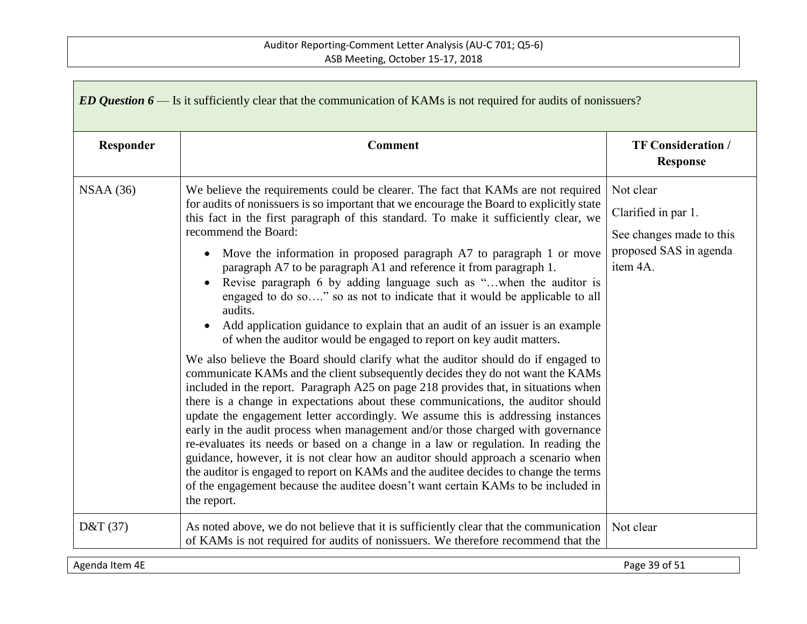| ED Question $6$ — Is it sufficiently clear that the communication of KAMs is not required for audits of nonissuers? |                                                                                                                                                                                                                                                                                                                                                                                                                                                                                                                                                                                                                                                                                                                                                                                                                                                                                                                                                                                                                                                                                                                                                                                                                                                                                                                                                                                                                                                                                                                                                                                                                                                                                                           |                                                                                                    |  |  |
|---------------------------------------------------------------------------------------------------------------------|-----------------------------------------------------------------------------------------------------------------------------------------------------------------------------------------------------------------------------------------------------------------------------------------------------------------------------------------------------------------------------------------------------------------------------------------------------------------------------------------------------------------------------------------------------------------------------------------------------------------------------------------------------------------------------------------------------------------------------------------------------------------------------------------------------------------------------------------------------------------------------------------------------------------------------------------------------------------------------------------------------------------------------------------------------------------------------------------------------------------------------------------------------------------------------------------------------------------------------------------------------------------------------------------------------------------------------------------------------------------------------------------------------------------------------------------------------------------------------------------------------------------------------------------------------------------------------------------------------------------------------------------------------------------------------------------------------------|----------------------------------------------------------------------------------------------------|--|--|
| Responder                                                                                                           | <b>Comment</b>                                                                                                                                                                                                                                                                                                                                                                                                                                                                                                                                                                                                                                                                                                                                                                                                                                                                                                                                                                                                                                                                                                                                                                                                                                                                                                                                                                                                                                                                                                                                                                                                                                                                                            | <b>TF Consideration /</b><br><b>Response</b>                                                       |  |  |
| NSAA(36)                                                                                                            | We believe the requirements could be clearer. The fact that KAMs are not required<br>for audits of nonissuers is so important that we encourage the Board to explicitly state<br>this fact in the first paragraph of this standard. To make it sufficiently clear, we<br>recommend the Board:<br>Move the information in proposed paragraph A7 to paragraph 1 or move<br>$\bullet$<br>paragraph A7 to be paragraph A1 and reference it from paragraph 1.<br>Revise paragraph 6 by adding language such as "when the auditor is<br>$\bullet$<br>engaged to do so" so as not to indicate that it would be applicable to all<br>audits.<br>Add application guidance to explain that an audit of an issuer is an example<br>$\bullet$<br>of when the auditor would be engaged to report on key audit matters.<br>We also believe the Board should clarify what the auditor should do if engaged to<br>communicate KAMs and the client subsequently decides they do not want the KAMs<br>included in the report. Paragraph A25 on page 218 provides that, in situations when<br>there is a change in expectations about these communications, the auditor should<br>update the engagement letter accordingly. We assume this is addressing instances<br>early in the audit process when management and/or those charged with governance<br>re-evaluates its needs or based on a change in a law or regulation. In reading the<br>guidance, however, it is not clear how an auditor should approach a scenario when<br>the auditor is engaged to report on KAMs and the auditee decides to change the terms<br>of the engagement because the auditee doesn't want certain KAMs to be included in<br>the report. | Not clear<br>Clarified in par 1.<br>See changes made to this<br>proposed SAS in agenda<br>item 4A. |  |  |
| D&T(37)                                                                                                             | As noted above, we do not believe that it is sufficiently clear that the communication<br>of KAMs is not required for audits of nonissuers. We therefore recommend that the                                                                                                                                                                                                                                                                                                                                                                                                                                                                                                                                                                                                                                                                                                                                                                                                                                                                                                                                                                                                                                                                                                                                                                                                                                                                                                                                                                                                                                                                                                                               | Not clear                                                                                          |  |  |

Agenda Item 4E Page 39 of 51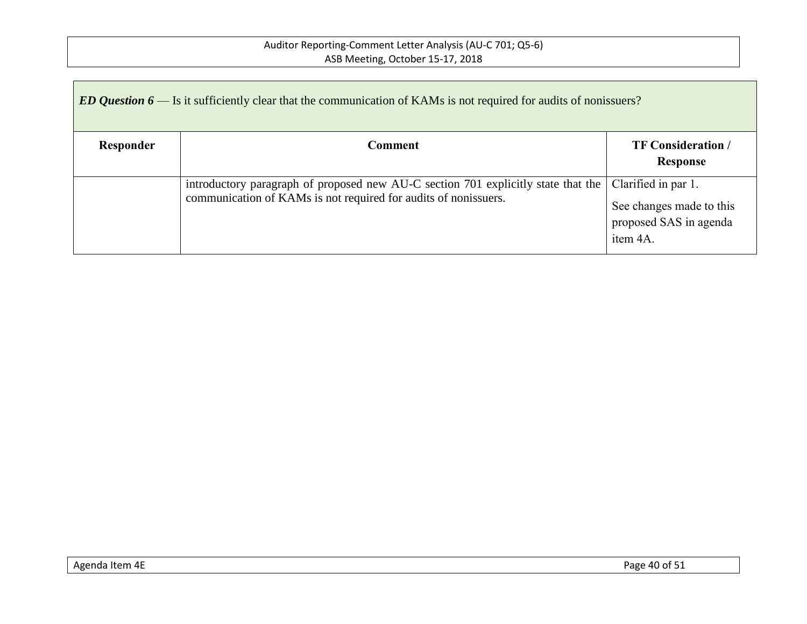| ED Question $6$ — Is it sufficiently clear that the communication of KAMs is not required for audits of nonissuers? |                                                                                                                                                      |                                                                                       |  |  |
|---------------------------------------------------------------------------------------------------------------------|------------------------------------------------------------------------------------------------------------------------------------------------------|---------------------------------------------------------------------------------------|--|--|
| Responder                                                                                                           | Comment                                                                                                                                              | <b>TF Consideration</b> /<br>Response                                                 |  |  |
|                                                                                                                     | introductory paragraph of proposed new AU-C section 701 explicitly state that the<br>communication of KAMs is not required for audits of nonissuers. | Clarified in par 1.<br>See changes made to this<br>proposed SAS in agenda<br>item 4A. |  |  |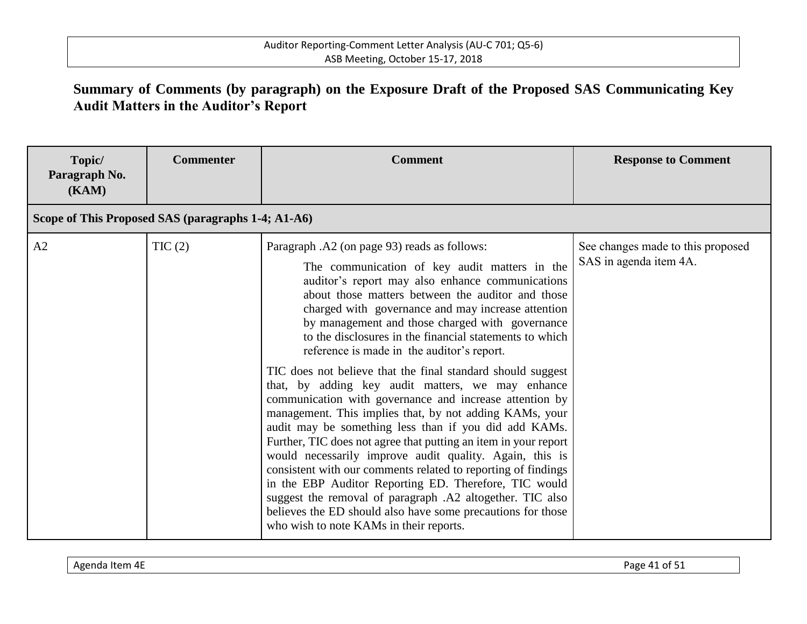# **Summary of Comments (by paragraph) on the Exposure Draft of the Proposed SAS Communicating Key Audit Matters in the Auditor's Report**

| Topic/<br>Paragraph No.<br>(KAM)                   | <b>Commenter</b> | <b>Comment</b>                                                                                                                                                                                                                                                                                                                                                                                                                                                                                                                                                                                                                                                                                                                                                                                                                                                                                                                                                                                                                                                                                                                                             | <b>Response to Comment</b>                                  |
|----------------------------------------------------|------------------|------------------------------------------------------------------------------------------------------------------------------------------------------------------------------------------------------------------------------------------------------------------------------------------------------------------------------------------------------------------------------------------------------------------------------------------------------------------------------------------------------------------------------------------------------------------------------------------------------------------------------------------------------------------------------------------------------------------------------------------------------------------------------------------------------------------------------------------------------------------------------------------------------------------------------------------------------------------------------------------------------------------------------------------------------------------------------------------------------------------------------------------------------------|-------------------------------------------------------------|
| Scope of This Proposed SAS (paragraphs 1-4; A1-A6) |                  |                                                                                                                                                                                                                                                                                                                                                                                                                                                                                                                                                                                                                                                                                                                                                                                                                                                                                                                                                                                                                                                                                                                                                            |                                                             |
| A2                                                 | TIC(2)           | Paragraph .A2 (on page 93) reads as follows:<br>The communication of key audit matters in the<br>auditor's report may also enhance communications<br>about those matters between the auditor and those<br>charged with governance and may increase attention<br>by management and those charged with governance<br>to the disclosures in the financial statements to which<br>reference is made in the auditor's report.<br>TIC does not believe that the final standard should suggest<br>that, by adding key audit matters, we may enhance<br>communication with governance and increase attention by<br>management. This implies that, by not adding KAMs, your<br>audit may be something less than if you did add KAMs.<br>Further, TIC does not agree that putting an item in your report<br>would necessarily improve audit quality. Again, this is<br>consistent with our comments related to reporting of findings<br>in the EBP Auditor Reporting ED. Therefore, TIC would<br>suggest the removal of paragraph .A2 altogether. TIC also<br>believes the ED should also have some precautions for those<br>who wish to note KAMs in their reports. | See changes made to this proposed<br>SAS in agenda item 4A. |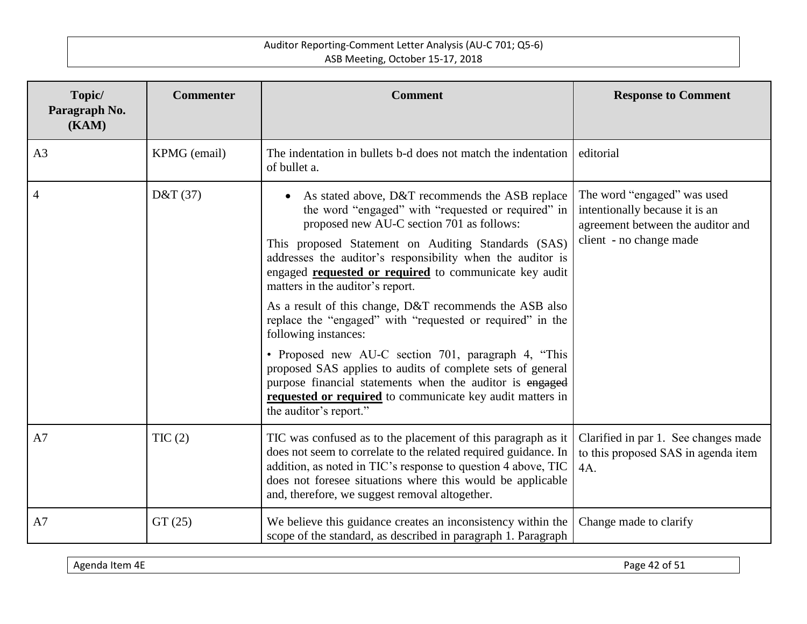| Topic/<br>Paragraph No.<br>(KAM) | <b>Commenter</b> | <b>Comment</b>                                                                                                                                                                                                                                                                                                                                                                                                                                                                                                                                                                                                                                                                                                                                                                                       | <b>Response to Comment</b>                                                                                                    |
|----------------------------------|------------------|------------------------------------------------------------------------------------------------------------------------------------------------------------------------------------------------------------------------------------------------------------------------------------------------------------------------------------------------------------------------------------------------------------------------------------------------------------------------------------------------------------------------------------------------------------------------------------------------------------------------------------------------------------------------------------------------------------------------------------------------------------------------------------------------------|-------------------------------------------------------------------------------------------------------------------------------|
| A <sub>3</sub>                   | KPMG (email)     | The indentation in bullets b-d does not match the indentation<br>of bullet a.                                                                                                                                                                                                                                                                                                                                                                                                                                                                                                                                                                                                                                                                                                                        | editorial                                                                                                                     |
| $\overline{4}$                   | D&T(37)          | As stated above, D&T recommends the ASB replace<br>the word "engaged" with "requested or required" in<br>proposed new AU-C section 701 as follows:<br>This proposed Statement on Auditing Standards (SAS)<br>addresses the auditor's responsibility when the auditor is<br>engaged <b>requested or required</b> to communicate key audit<br>matters in the auditor's report.<br>As a result of this change, D&T recommends the ASB also<br>replace the "engaged" with "requested or required" in the<br>following instances:<br>• Proposed new AU-C section 701, paragraph 4, "This<br>proposed SAS applies to audits of complete sets of general<br>purpose financial statements when the auditor is engaged<br>requested or required to communicate key audit matters in<br>the auditor's report." | The word "engaged" was used<br>intentionally because it is an<br>agreement between the auditor and<br>client - no change made |
| A7                               | TIC(2)           | TIC was confused as to the placement of this paragraph as it<br>does not seem to correlate to the related required guidance. In<br>addition, as noted in TIC's response to question 4 above, TIC<br>does not foresee situations where this would be applicable<br>and, therefore, we suggest removal altogether.                                                                                                                                                                                                                                                                                                                                                                                                                                                                                     | Clarified in par 1. See changes made<br>to this proposed SAS in agenda item<br>$4A$ .                                         |
| A7                               | GT(25)           | We believe this guidance creates an inconsistency within the<br>scope of the standard, as described in paragraph 1. Paragraph                                                                                                                                                                                                                                                                                                                                                                                                                                                                                                                                                                                                                                                                        | Change made to clarify                                                                                                        |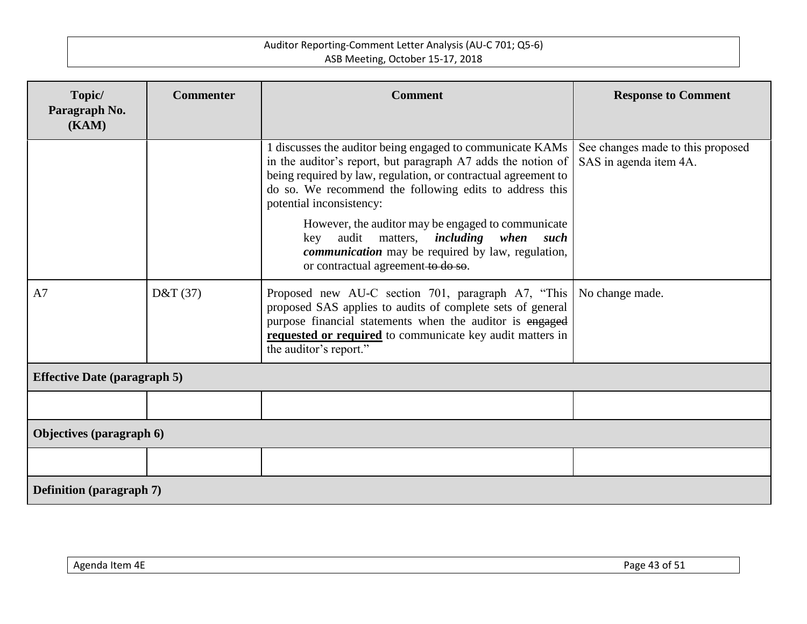| Topic/<br>Paragraph No.             | <b>Commenter</b> | <b>Comment</b>                                                                                                                                                                                                                                                                                                                                                                                                                                                                              | <b>Response to Comment</b>                                  |  |
|-------------------------------------|------------------|---------------------------------------------------------------------------------------------------------------------------------------------------------------------------------------------------------------------------------------------------------------------------------------------------------------------------------------------------------------------------------------------------------------------------------------------------------------------------------------------|-------------------------------------------------------------|--|
| (KAM)                               |                  |                                                                                                                                                                                                                                                                                                                                                                                                                                                                                             |                                                             |  |
|                                     |                  | 1 discusses the auditor being engaged to communicate KAMs<br>in the auditor's report, but paragraph A7 adds the notion of<br>being required by law, regulation, or contractual agreement to<br>do so. We recommend the following edits to address this<br>potential inconsistency:<br>However, the auditor may be engaged to communicate<br>key audit matters, <i>including when such</i><br><i>communication</i> may be required by law, regulation,<br>or contractual agreement to do so. | See changes made to this proposed<br>SAS in agenda item 4A. |  |
| A7                                  | D&T(37)          | Proposed new AU-C section 701, paragraph A7, "This<br>proposed SAS applies to audits of complete sets of general<br>purpose financial statements when the auditor is engaged<br>requested or required to communicate key audit matters in<br>the auditor's report."                                                                                                                                                                                                                         | No change made.                                             |  |
| <b>Effective Date (paragraph 5)</b> |                  |                                                                                                                                                                                                                                                                                                                                                                                                                                                                                             |                                                             |  |
|                                     |                  |                                                                                                                                                                                                                                                                                                                                                                                                                                                                                             |                                                             |  |
| Objectives (paragraph 6)            |                  |                                                                                                                                                                                                                                                                                                                                                                                                                                                                                             |                                                             |  |
|                                     |                  |                                                                                                                                                                                                                                                                                                                                                                                                                                                                                             |                                                             |  |
| <b>Definition</b> (paragraph 7)     |                  |                                                                                                                                                                                                                                                                                                                                                                                                                                                                                             |                                                             |  |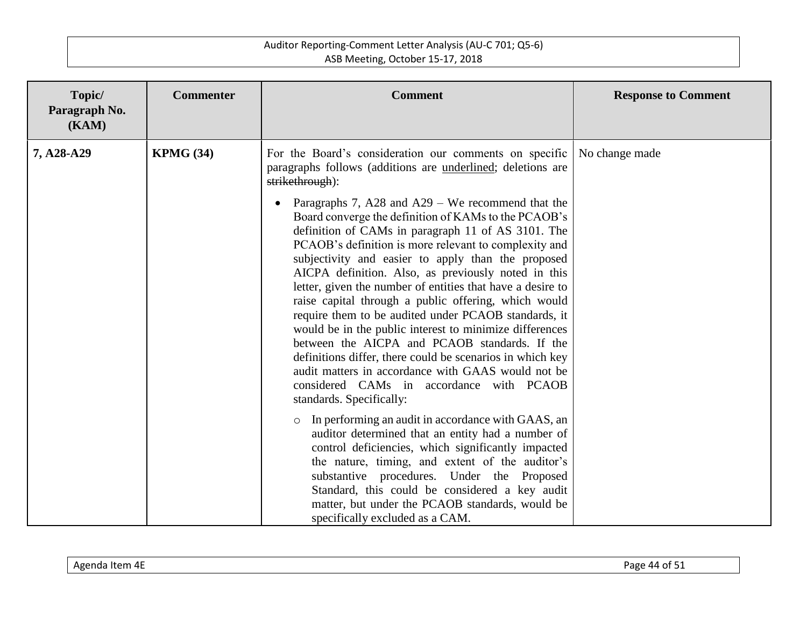| Topic/<br>Paragraph No.<br>(KAM) | <b>Commenter</b> | <b>Comment</b>                                                                                                                                                                                                                                                                                                                                                                                                                                                                                                                                                                                                                                                                                                                                                                                                                                                                                                                                                                              | <b>Response to Comment</b> |
|----------------------------------|------------------|---------------------------------------------------------------------------------------------------------------------------------------------------------------------------------------------------------------------------------------------------------------------------------------------------------------------------------------------------------------------------------------------------------------------------------------------------------------------------------------------------------------------------------------------------------------------------------------------------------------------------------------------------------------------------------------------------------------------------------------------------------------------------------------------------------------------------------------------------------------------------------------------------------------------------------------------------------------------------------------------|----------------------------|
| 7, A28-A29                       | <b>KPMG (34)</b> | For the Board's consideration our comments on specific<br>paragraphs follows (additions are <u>underlined</u> ; deletions are<br>strikethrough):<br>Paragraphs 7, A28 and A29 – We recommend that the<br>$\bullet$<br>Board converge the definition of KAMs to the PCAOB's<br>definition of CAMs in paragraph 11 of AS 3101. The<br>PCAOB's definition is more relevant to complexity and<br>subjectivity and easier to apply than the proposed<br>AICPA definition. Also, as previously noted in this<br>letter, given the number of entities that have a desire to<br>raise capital through a public offering, which would<br>require them to be audited under PCAOB standards, it<br>would be in the public interest to minimize differences<br>between the AICPA and PCAOB standards. If the<br>definitions differ, there could be scenarios in which key<br>audit matters in accordance with GAAS would not be<br>considered CAMs in accordance with PCAOB<br>standards. Specifically: | No change made             |
|                                  |                  | In performing an audit in accordance with GAAS, an<br>$\circ$<br>auditor determined that an entity had a number of<br>control deficiencies, which significantly impacted<br>the nature, timing, and extent of the auditor's<br>substantive procedures. Under the Proposed<br>Standard, this could be considered a key audit<br>matter, but under the PCAOB standards, would be<br>specifically excluded as a CAM.                                                                                                                                                                                                                                                                                                                                                                                                                                                                                                                                                                           |                            |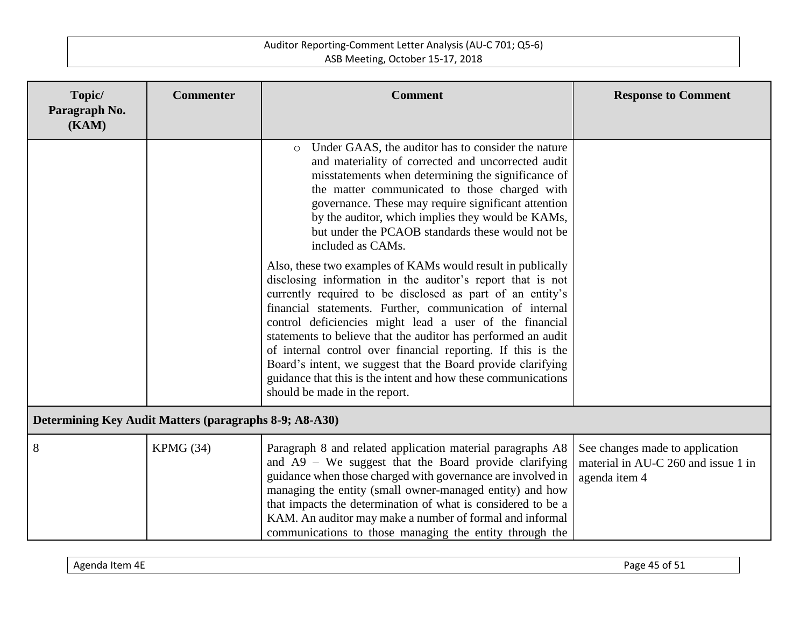| Topic/<br>Paragraph No.<br>(KAM)                       | <b>Commenter</b> | <b>Comment</b>                                                                                                                                                                                                                                                                                                                                                                                                                                                                                                                               | <b>Response to Comment</b>                                                              |
|--------------------------------------------------------|------------------|----------------------------------------------------------------------------------------------------------------------------------------------------------------------------------------------------------------------------------------------------------------------------------------------------------------------------------------------------------------------------------------------------------------------------------------------------------------------------------------------------------------------------------------------|-----------------------------------------------------------------------------------------|
|                                                        |                  | Under GAAS, the auditor has to consider the nature<br>$\circ$<br>and materiality of corrected and uncorrected audit<br>misstatements when determining the significance of<br>the matter communicated to those charged with<br>governance. These may require significant attention<br>by the auditor, which implies they would be KAMs,<br>but under the PCAOB standards these would not be<br>included as CAMs.<br>Also, these two examples of KAMs would result in publically<br>disclosing information in the auditor's report that is not |                                                                                         |
|                                                        |                  | currently required to be disclosed as part of an entity's<br>financial statements. Further, communication of internal<br>control deficiencies might lead a user of the financial<br>statements to believe that the auditor has performed an audit<br>of internal control over financial reporting. If this is the<br>Board's intent, we suggest that the Board provide clarifying<br>guidance that this is the intent and how these communications<br>should be made in the report.                                                          |                                                                                         |
| Determining Key Audit Matters (paragraphs 8-9; A8-A30) |                  |                                                                                                                                                                                                                                                                                                                                                                                                                                                                                                                                              |                                                                                         |
| 8                                                      | KPMG (34)        | Paragraph 8 and related application material paragraphs A8<br>and $A9 - We$ suggest that the Board provide clarifying<br>guidance when those charged with governance are involved in<br>managing the entity (small owner-managed entity) and how<br>that impacts the determination of what is considered to be a<br>KAM. An auditor may make a number of formal and informal<br>communications to those managing the entity through the                                                                                                      | See changes made to application<br>material in AU-C 260 and issue 1 in<br>agenda item 4 |

| Agenda<br>ltem 4E | Page<br>~+<br>. כוט<br>. .<br>. . |
|-------------------|-----------------------------------|
|-------------------|-----------------------------------|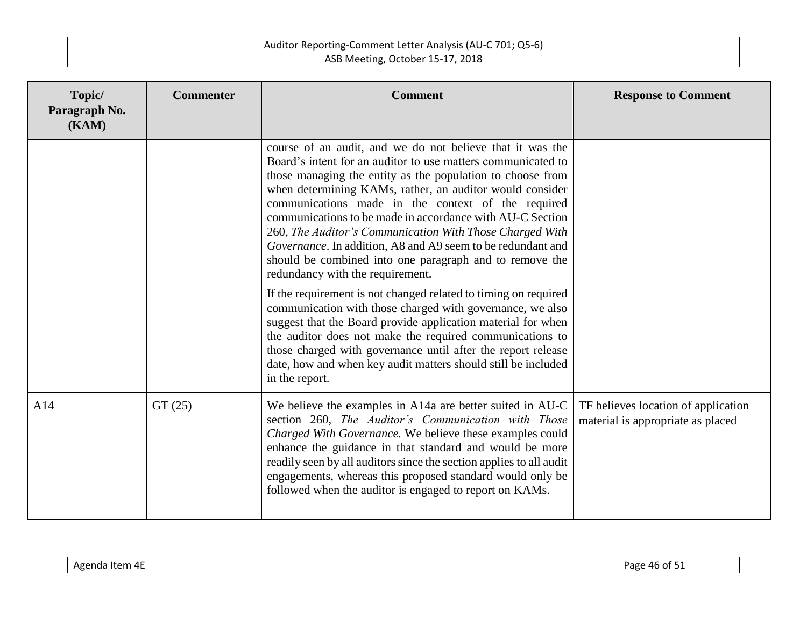| Topic/<br>Paragraph No.<br>(KAM) | <b>Commenter</b> | <b>Comment</b>                                                                                                                                                                                                                                                                                                                                                                                                                                                                                                                                                                                                                                                                                                                                                                                                                                                                                                                                                                                                  | <b>Response to Comment</b>                                               |
|----------------------------------|------------------|-----------------------------------------------------------------------------------------------------------------------------------------------------------------------------------------------------------------------------------------------------------------------------------------------------------------------------------------------------------------------------------------------------------------------------------------------------------------------------------------------------------------------------------------------------------------------------------------------------------------------------------------------------------------------------------------------------------------------------------------------------------------------------------------------------------------------------------------------------------------------------------------------------------------------------------------------------------------------------------------------------------------|--------------------------------------------------------------------------|
|                                  |                  | course of an audit, and we do not believe that it was the<br>Board's intent for an auditor to use matters communicated to<br>those managing the entity as the population to choose from<br>when determining KAMs, rather, an auditor would consider<br>communications made in the context of the required<br>communications to be made in accordance with AU-C Section<br>260, The Auditor's Communication With Those Charged With<br>Governance. In addition, A8 and A9 seem to be redundant and<br>should be combined into one paragraph and to remove the<br>redundancy with the requirement.<br>If the requirement is not changed related to timing on required<br>communication with those charged with governance, we also<br>suggest that the Board provide application material for when<br>the auditor does not make the required communications to<br>those charged with governance until after the report release<br>date, how and when key audit matters should still be included<br>in the report. |                                                                          |
| A14                              | GT(25)           | We believe the examples in A14a are better suited in AU-C<br>section 260, The Auditor's Communication with Those<br>Charged With Governance. We believe these examples could<br>enhance the guidance in that standard and would be more<br>readily seen by all auditors since the section applies to all audit<br>engagements, whereas this proposed standard would only be<br>followed when the auditor is engaged to report on KAMs.                                                                                                                                                                                                                                                                                                                                                                                                                                                                                                                                                                          | TF believes location of application<br>material is appropriate as placed |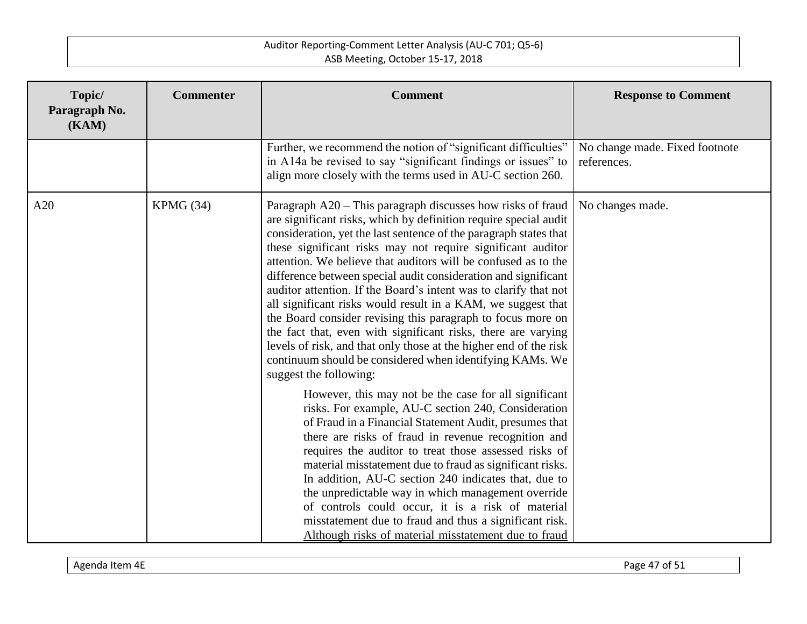| Topic/<br>Paragraph No.<br>(KAM) | <b>Commenter</b> | <b>Comment</b>                                                                                                                                                                                                                                                                                                                                                                                                                                                                                                                                                                                                                                                                                                                                                                                                                         | <b>Response to Comment</b>                    |
|----------------------------------|------------------|----------------------------------------------------------------------------------------------------------------------------------------------------------------------------------------------------------------------------------------------------------------------------------------------------------------------------------------------------------------------------------------------------------------------------------------------------------------------------------------------------------------------------------------------------------------------------------------------------------------------------------------------------------------------------------------------------------------------------------------------------------------------------------------------------------------------------------------|-----------------------------------------------|
|                                  |                  | Further, we recommend the notion of "significant difficulties"<br>in A14a be revised to say "significant findings or issues" to<br>align more closely with the terms used in AU-C section 260.                                                                                                                                                                                                                                                                                                                                                                                                                                                                                                                                                                                                                                         | No change made. Fixed footnote<br>references. |
| A20                              | KPMG(34)         | Paragraph A20 – This paragraph discusses how risks of fraud<br>are significant risks, which by definition require special audit<br>consideration, yet the last sentence of the paragraph states that<br>these significant risks may not require significant auditor<br>attention. We believe that auditors will be confused as to the<br>difference between special audit consideration and significant<br>auditor attention. If the Board's intent was to clarify that not<br>all significant risks would result in a KAM, we suggest that<br>the Board consider revising this paragraph to focus more on<br>the fact that, even with significant risks, there are varying<br>levels of risk, and that only those at the higher end of the risk<br>continuum should be considered when identifying KAMs. We<br>suggest the following: | No changes made.                              |
|                                  |                  | However, this may not be the case for all significant<br>risks. For example, AU-C section 240, Consideration<br>of Fraud in a Financial Statement Audit, presumes that<br>there are risks of fraud in revenue recognition and<br>requires the auditor to treat those assessed risks of<br>material misstatement due to fraud as significant risks.<br>In addition, AU-C section 240 indicates that, due to<br>the unpredictable way in which management override<br>of controls could occur, it is a risk of material<br>misstatement due to fraud and thus a significant risk.<br>Although risks of material misstatement due to fraud                                                                                                                                                                                                |                                               |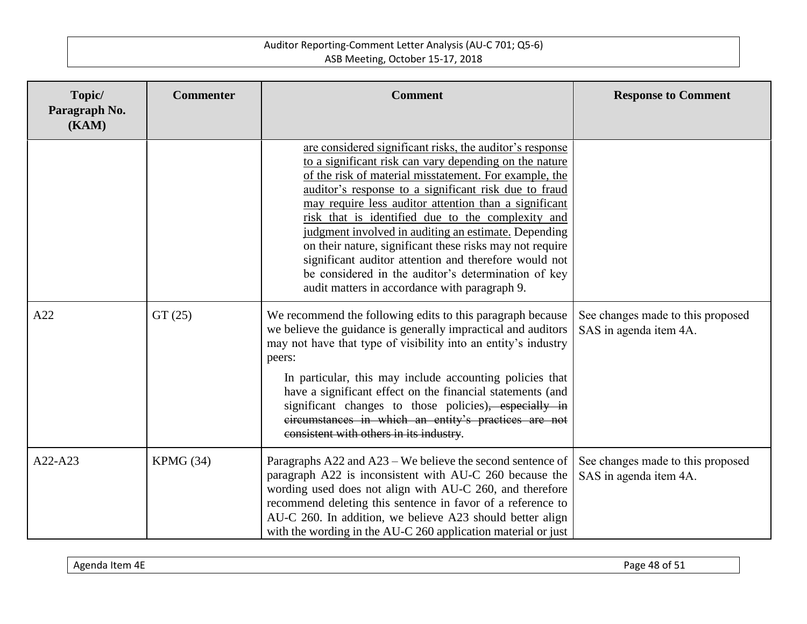| Topic/<br>Paragraph No.<br>(KAM) | <b>Commenter</b> | <b>Comment</b>                                                                                                                                                                                                                                                                                                                                                                                                                                                                                                                                                                                                                           | <b>Response to Comment</b>                                  |
|----------------------------------|------------------|------------------------------------------------------------------------------------------------------------------------------------------------------------------------------------------------------------------------------------------------------------------------------------------------------------------------------------------------------------------------------------------------------------------------------------------------------------------------------------------------------------------------------------------------------------------------------------------------------------------------------------------|-------------------------------------------------------------|
|                                  |                  | are considered significant risks, the auditor's response<br>to a significant risk can vary depending on the nature<br>of the risk of material misstatement. For example, the<br>auditor's response to a significant risk due to fraud<br>may require less auditor attention than a significant<br>risk that is identified due to the complexity and<br>judgment involved in auditing an estimate. Depending<br>on their nature, significant these risks may not require<br>significant auditor attention and therefore would not<br>be considered in the auditor's determination of key<br>audit matters in accordance with paragraph 9. |                                                             |
| A22                              | GT(25)           | We recommend the following edits to this paragraph because<br>we believe the guidance is generally impractical and auditors<br>may not have that type of visibility into an entity's industry<br>peers:<br>In particular, this may include accounting policies that<br>have a significant effect on the financial statements (and<br>significant changes to those policies), especially in<br>eircumstances in which an entity's practices are not<br>consistent with others in its industry.                                                                                                                                            | See changes made to this proposed<br>SAS in agenda item 4A. |
| A22-A23                          | KPMG(34)         | Paragraphs A22 and A23 – We believe the second sentence of<br>paragraph A22 is inconsistent with AU-C 260 because the<br>wording used does not align with AU-C 260, and therefore<br>recommend deleting this sentence in favor of a reference to<br>AU-C 260. In addition, we believe A23 should better align<br>with the wording in the AU-C 260 application material or just                                                                                                                                                                                                                                                           | See changes made to this proposed<br>SAS in agenda item 4A. |

Agenda Item 4E **Page 48 of 51**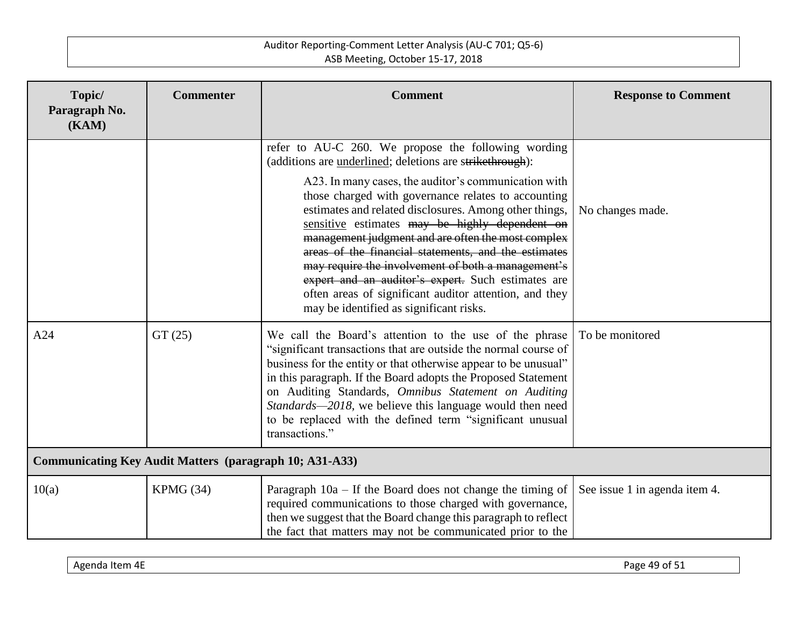| Topic/<br>Paragraph No.<br>(KAM)                               | <b>Commenter</b> | <b>Comment</b>                                                                                                                                                                                                                                                                                                                                                                                                                                                                                                                                         | <b>Response to Comment</b>    |
|----------------------------------------------------------------|------------------|--------------------------------------------------------------------------------------------------------------------------------------------------------------------------------------------------------------------------------------------------------------------------------------------------------------------------------------------------------------------------------------------------------------------------------------------------------------------------------------------------------------------------------------------------------|-------------------------------|
|                                                                |                  | refer to AU-C 260. We propose the following wording<br>(additions are underlined; deletions are strikethrough):                                                                                                                                                                                                                                                                                                                                                                                                                                        |                               |
|                                                                |                  | A23. In many cases, the auditor's communication with<br>those charged with governance relates to accounting<br>estimates and related disclosures. Among other things,<br>sensitive estimates may be highly dependent on<br>management judgment and are often the most complex<br>areas of the financial statements, and the estimates<br>may require the involvement of both a management's<br>expert and an auditor's expert. Such estimates are<br>often areas of significant auditor attention, and they<br>may be identified as significant risks. | No changes made.              |
| A24                                                            | GT(25)           | We call the Board's attention to the use of the phrase<br>"significant transactions that are outside the normal course of<br>business for the entity or that otherwise appear to be unusual"<br>in this paragraph. If the Board adopts the Proposed Statement<br>on Auditing Standards, Omnibus Statement on Auditing<br>Standards-2018, we believe this language would then need<br>to be replaced with the defined term "significant unusual<br>transactions."                                                                                       | To be monitored               |
| <b>Communicating Key Audit Matters (paragraph 10; A31-A33)</b> |                  |                                                                                                                                                                                                                                                                                                                                                                                                                                                                                                                                                        |                               |
| 10(a)                                                          | KPMG (34)        | Paragraph $10a - If the Board does not change the timing of$<br>required communications to those charged with governance,<br>then we suggest that the Board change this paragraph to reflect<br>the fact that matters may not be communicated prior to the                                                                                                                                                                                                                                                                                             | See issue 1 in agenda item 4. |

| $\overline{\phantom{a}}$<br>ш<br>--<br>re<br>.<br>. . | .<br>⊤d⊌∽ |
|-------------------------------------------------------|-----------|
|-------------------------------------------------------|-----------|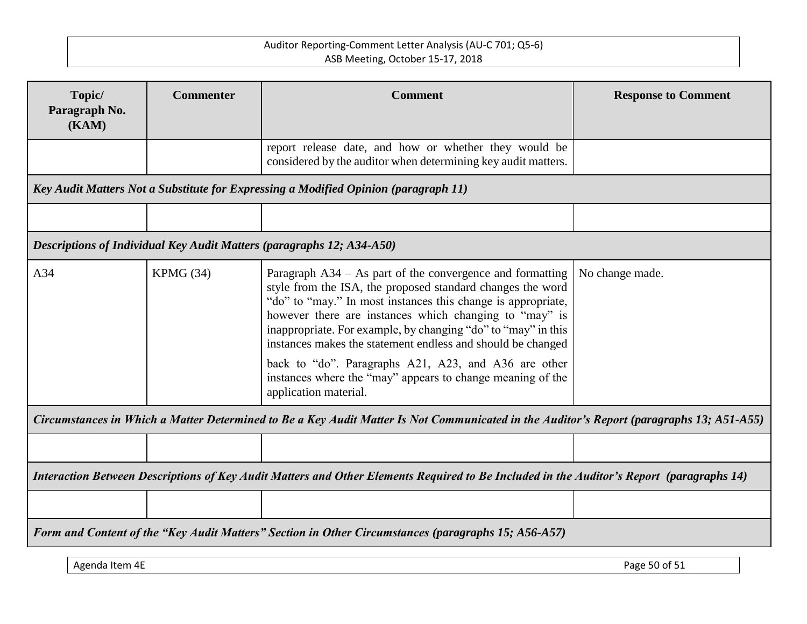| Topic/<br>Paragraph No.<br>(KAM)                                                                                                         | <b>Commenter</b> | <b>Comment</b>                                                                                                                                                                                                                                                                                                                                                                                                                                                                                                                   | <b>Response to Comment</b> |
|------------------------------------------------------------------------------------------------------------------------------------------|------------------|----------------------------------------------------------------------------------------------------------------------------------------------------------------------------------------------------------------------------------------------------------------------------------------------------------------------------------------------------------------------------------------------------------------------------------------------------------------------------------------------------------------------------------|----------------------------|
|                                                                                                                                          |                  | report release date, and how or whether they would be<br>considered by the auditor when determining key audit matters.                                                                                                                                                                                                                                                                                                                                                                                                           |                            |
|                                                                                                                                          |                  | Key Audit Matters Not a Substitute for Expressing a Modified Opinion (paragraph 11)                                                                                                                                                                                                                                                                                                                                                                                                                                              |                            |
|                                                                                                                                          |                  |                                                                                                                                                                                                                                                                                                                                                                                                                                                                                                                                  |                            |
|                                                                                                                                          |                  | Descriptions of Individual Key Audit Matters (paragraphs 12; A34-A50)                                                                                                                                                                                                                                                                                                                                                                                                                                                            |                            |
| A34                                                                                                                                      | KPMG (34)        | Paragraph A34 – As part of the convergence and formatting<br>style from the ISA, the proposed standard changes the word<br>"do" to "may." In most instances this change is appropriate,<br>however there are instances which changing to "may" is<br>inappropriate. For example, by changing "do" to "may" in this<br>instances makes the statement endless and should be changed<br>back to "do". Paragraphs A21, A23, and A36 are other<br>instances where the "may" appears to change meaning of the<br>application material. | No change made.            |
| Circumstances in Which a Matter Determined to Be a Key Audit Matter Is Not Communicated in the Auditor's Report (paragraphs 13; A51-A55) |                  |                                                                                                                                                                                                                                                                                                                                                                                                                                                                                                                                  |                            |
|                                                                                                                                          |                  |                                                                                                                                                                                                                                                                                                                                                                                                                                                                                                                                  |                            |
|                                                                                                                                          |                  | Interaction Between Descriptions of Key Audit Matters and Other Elements Required to Be Included in the Auditor's Report (paragraphs 14)                                                                                                                                                                                                                                                                                                                                                                                         |                            |
|                                                                                                                                          |                  |                                                                                                                                                                                                                                                                                                                                                                                                                                                                                                                                  |                            |
|                                                                                                                                          |                  | Form and Content of the "Key Audit Matters" Section in Other Circumstances (paragraphs 15; A56-A57)                                                                                                                                                                                                                                                                                                                                                                                                                              |                            |

Agenda Item 4E Page 50 of 51